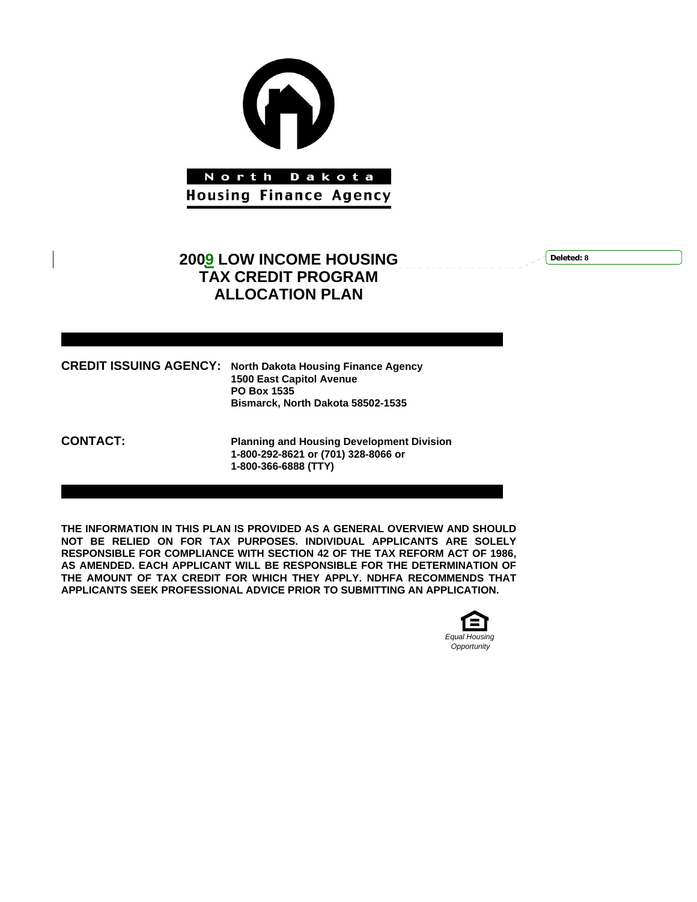

# **2009 LOW INCOME HOUSING TAX CREDIT PROGRAM ALLOCATION PLAN**

**Deleted: 8**

| <b>CREDIT ISSUING AGENCY: North Dakota Housing Finance Agency</b><br><b>1500 East Capitol Avenue</b><br><b>PO Box 1535</b> |
|----------------------------------------------------------------------------------------------------------------------------|
| Bismarck, North Dakota 58502-1535                                                                                          |

**CONTACT: Planning and Housing Development Division 1-800-292-8621 or (701) 328-8066 or 1-800-366-6888 (TTY)** 

**THE INFORMATION IN THIS PLAN IS PROVIDED AS A GENERAL OVERVIEW AND SHOULD NOT BE RELIED ON FOR TAX PURPOSES. INDIVIDUAL APPLICANTS ARE SOLELY RESPONSIBLE FOR COMPLIANCE WITH SECTION 42 OF THE TAX REFORM ACT OF 1986, AS AMENDED. EACH APPLICANT WILL BE RESPONSIBLE FOR THE DETERMINATION OF THE AMOUNT OF TAX CREDIT FOR WHICH THEY APPLY. NDHFA RECOMMENDS THAT APPLICANTS SEEK PROFESSIONAL ADVICE PRIOR TO SUBMITTING AN APPLICATION.** 

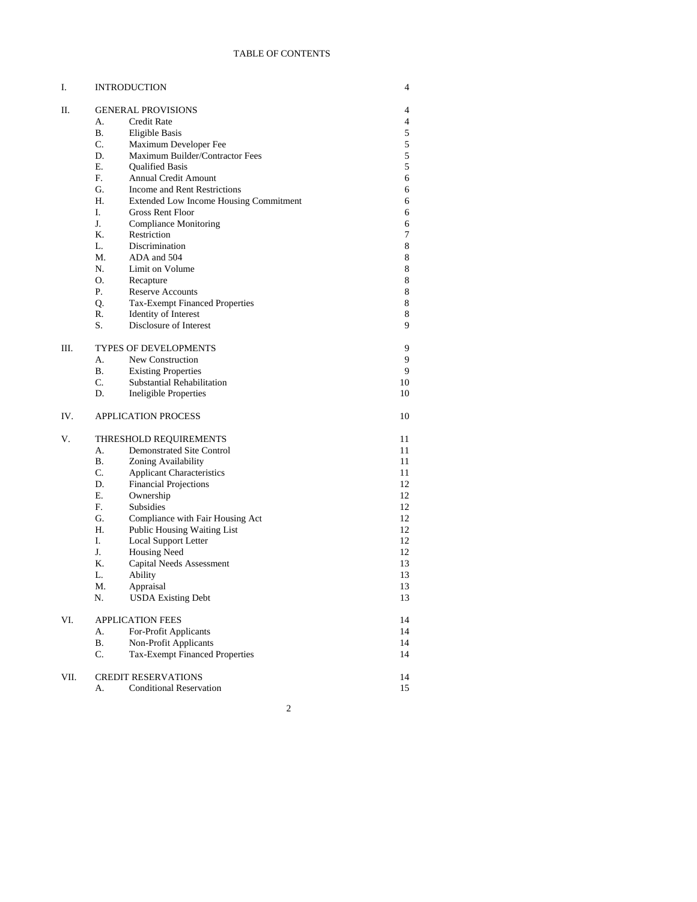## TABLE OF CONTENTS

| Ι.   | <b>INTRODUCTION</b>                                 |    | 4 |
|------|-----------------------------------------------------|----|---|
| П.   | <b>GENERAL PROVISIONS</b>                           |    | 4 |
|      | А.<br>Credit Rate                                   |    | 4 |
|      | В.<br>Eligible Basis                                |    | 5 |
|      | C.<br>Maximum Developer Fee                         |    | 5 |
|      | D.<br>Maximum Builder/Contractor Fees               |    | 5 |
|      | Е.<br><b>Oualified Basis</b>                        |    | 5 |
|      | F.<br><b>Annual Credit Amount</b>                   |    | 6 |
|      | G.<br>Income and Rent Restrictions                  |    | 6 |
|      | Н.<br><b>Extended Low Income Housing Commitment</b> |    | 6 |
|      | I.<br>Gross Rent Floor                              |    | 6 |
|      | J.<br><b>Compliance Monitoring</b>                  |    | 6 |
|      | Κ.<br>Restriction                                   |    | 7 |
|      | L.<br>Discrimination                                |    | 8 |
|      | М.<br>ADA and 504                                   |    | 8 |
|      | N.<br>Limit on Volume                               |    | 8 |
|      | О.<br>Recapture                                     |    | 8 |
|      | Р.<br>Reserve Accounts                              |    | 8 |
|      | Tax-Exempt Financed Properties<br>Q.                |    | 8 |
|      | R.<br>Identity of Interest                          |    | 8 |
|      | S.<br>Disclosure of Interest                        |    | 9 |
|      |                                                     |    |   |
| Ш.   | <b>TYPES OF DEVELOPMENTS</b>                        |    | 9 |
|      | А.<br>New Construction                              |    | 9 |
|      | <b>B.</b><br><b>Existing Properties</b>             |    | 9 |
|      | C.<br>Substantial Rehabilitation                    | 10 |   |
|      | D.<br><b>Ineligible Properties</b>                  | 10 |   |
| IV.  | <b>APPLICATION PROCESS</b>                          | 10 |   |
| V.   | THRESHOLD REQUIREMENTS                              | 11 |   |
|      | А.<br><b>Demonstrated Site Control</b>              | 11 |   |
|      | Β.<br>Zoning Availability                           | 11 |   |
|      | C.<br><b>Applicant Characteristics</b>              | 11 |   |
|      | D.<br><b>Financial Projections</b>                  | 12 |   |
|      | Ε.<br>Ownership                                     | 12 |   |
|      | F.<br>Subsidies                                     | 12 |   |
|      | G.<br>Compliance with Fair Housing Act              | 12 |   |
|      | H.<br>Public Housing Waiting List                   | 12 |   |
|      | I.<br>Local Support Letter                          | 12 |   |
|      | J.<br>Housing Need                                  | 12 |   |
|      | Κ.<br>Capital Needs Assessment                      | 13 |   |
|      | L.<br>Ability                                       | 13 |   |
|      | М.<br>Appraisal                                     | 13 |   |
|      | <b>USDA Existing Debt</b><br>N.                     | 13 |   |
| VI.  | <b>APPLICATION FEES</b>                             | 14 |   |
|      | For-Profit Applicants<br>А.                         | 14 |   |
|      | В.<br>Non-Profit Applicants                         | 14 |   |
|      | <b>Tax-Exempt Financed Properties</b><br>C.         | 14 |   |
| VII. | <b>CREDIT RESERVATIONS</b>                          | 14 |   |
|      | <b>Conditional Reservation</b><br>А.                | 15 |   |
|      |                                                     |    |   |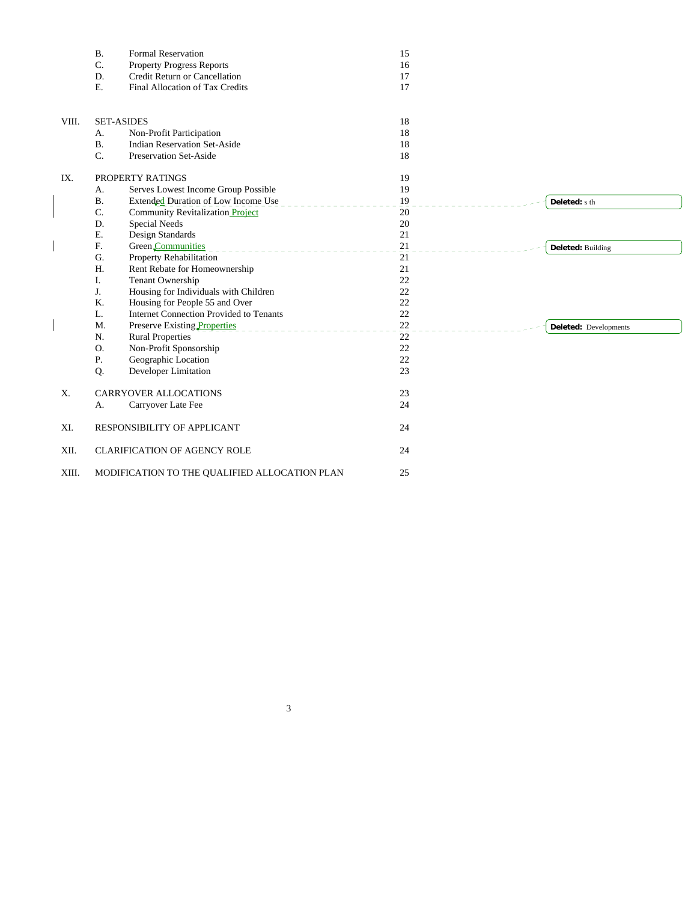|       | <b>B.</b> | <b>Formal Reservation</b>                      | 15     |                       |
|-------|-----------|------------------------------------------------|--------|-----------------------|
|       | C.        | <b>Property Progress Reports</b>               | 16     |                       |
|       | D.        | Credit Return or Cancellation                  | 17     |                       |
|       | E.        | Final Allocation of Tax Credits                | 17     |                       |
|       |           |                                                |        |                       |
| VIII. |           | <b>SET-ASIDES</b>                              | 18     |                       |
|       | A.        | Non-Profit Participation                       | 18     |                       |
|       | <b>B.</b> | <b>Indian Reservation Set-Aside</b>            | 18     |                       |
|       | C.        | Preservation Set-Aside                         | 18     |                       |
|       |           |                                                |        |                       |
| IX.   |           | PROPERTY RATINGS                               | 19     |                       |
|       | A.        | Serves Lowest Income Group Possible            | 19     |                       |
|       | <b>B.</b> | Extended Duration of Low Income Use            | 19     | Deleted: s th         |
|       | C.        | Community Revitalization Project               | 20     |                       |
|       | D.        | Special Needs                                  | 20     |                       |
|       | Ε.        | Design Standards                               | 21     |                       |
|       | F.        | Green Communities                              | 21     | Deleted: Building     |
|       | G.        | Property Rehabilitation                        | 21     |                       |
|       | H.        | Rent Rebate for Homeownership                  | 21     |                       |
|       | Ι.        | Tenant Ownership                               | 22     |                       |
|       | J.        | Housing for Individuals with Children          | 22     |                       |
|       | K.        | Housing for People 55 and Over                 | 22     |                       |
|       | L.        | <b>Internet Connection Provided to Tenants</b> | $22\,$ |                       |
|       | M.        | Preserve Existing Properties                   | 22     | Deleted: Developments |
|       | N.        | <b>Rural Properties</b>                        | 22     |                       |
|       | 0.        | Non-Profit Sponsorship                         | 22     |                       |
|       | Ρ.        | Geographic Location                            | $22\,$ |                       |
|       | Q.        | Developer Limitation                           | 23     |                       |
| X.    |           | <b>CARRYOVER ALLOCATIONS</b>                   | 23     |                       |
|       | A.        | Carryover Late Fee                             | 24     |                       |
|       |           |                                                |        |                       |
| XI.   |           | RESPONSIBILITY OF APPLICANT                    | 24     |                       |
| XII.  |           | <b>CLARIFICATION OF AGENCY ROLE</b>            | 24     |                       |
| XIII. |           | MODIFICATION TO THE QUALIFIED ALLOCATION PLAN  | 25     |                       |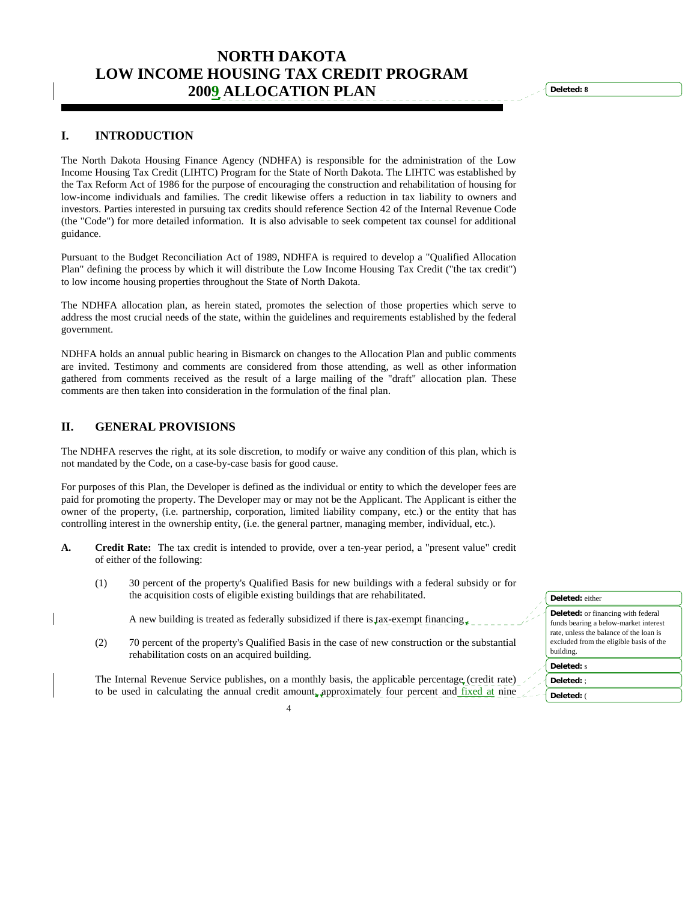# **NORTH DAKOTA LOW INCOME HOUSING TAX CREDIT PROGRAM 2009 ALLOCATION PLAN**

## **I. INTRODUCTION**

The North Dakota Housing Finance Agency (NDHFA) is responsible for the administration of the Low Income Housing Tax Credit (LIHTC) Program for the State of North Dakota. The LIHTC was established by the Tax Reform Act of 1986 for the purpose of encouraging the construction and rehabilitation of housing for low-income individuals and families. The credit likewise offers a reduction in tax liability to owners and investors. Parties interested in pursuing tax credits should reference Section 42 of the Internal Revenue Code (the "Code") for more detailed information. It is also advisable to seek competent tax counsel for additional guidance.

Pursuant to the Budget Reconciliation Act of 1989, NDHFA is required to develop a "Qualified Allocation Plan" defining the process by which it will distribute the Low Income Housing Tax Credit ("the tax credit") to low income housing properties throughout the State of North Dakota.

The NDHFA allocation plan, as herein stated, promotes the selection of those properties which serve to address the most crucial needs of the state, within the guidelines and requirements established by the federal government.

NDHFA holds an annual public hearing in Bismarck on changes to the Allocation Plan and public comments are invited. Testimony and comments are considered from those attending, as well as other information gathered from comments received as the result of a large mailing of the "draft" allocation plan. These comments are then taken into consideration in the formulation of the final plan.

## **II. GENERAL PROVISIONS**

The NDHFA reserves the right, at its sole discretion, to modify or waive any condition of this plan, which is not mandated by the Code, on a case-by-case basis for good cause.

For purposes of this Plan, the Developer is defined as the individual or entity to which the developer fees are paid for promoting the property. The Developer may or may not be the Applicant. The Applicant is either the owner of the property, (i.e. partnership, corporation, limited liability company, etc.) or the entity that has controlling interest in the ownership entity, (i.e. the general partner, managing member, individual, etc.).

- **A. Credit Rate:** The tax credit is intended to provide, over a ten-year period, a "present value" credit of either of the following:
	- (1) 30 percent of the property's Qualified Basis for new buildings with a federal subsidy or for the acquisition costs of eligible existing buildings that are rehabilitated.
		- A new building is treated as federally subsidized if there is tax-exempt financing.
	- (2) 70 percent of the property's Qualified Basis in the case of new construction or the substantial rehabilitation costs on an acquired building.

 The Internal Revenue Service publishes, on a monthly basis, the applicable percentage (credit rate) to be used in calculating the annual credit amount, approximately four percent and fixed at nine

| Deleted: either                                                                                                                                                                       |
|---------------------------------------------------------------------------------------------------------------------------------------------------------------------------------------|
| <b>Deleted:</b> or financing with federal<br>funds bearing a below-market interest<br>rate, unless the balance of the loan is<br>excluded from the eligible basis of the<br>building. |
| Deleted: s                                                                                                                                                                            |
| Deleted: :                                                                                                                                                                            |
| Deleted: (                                                                                                                                                                            |

**Deleted: 8**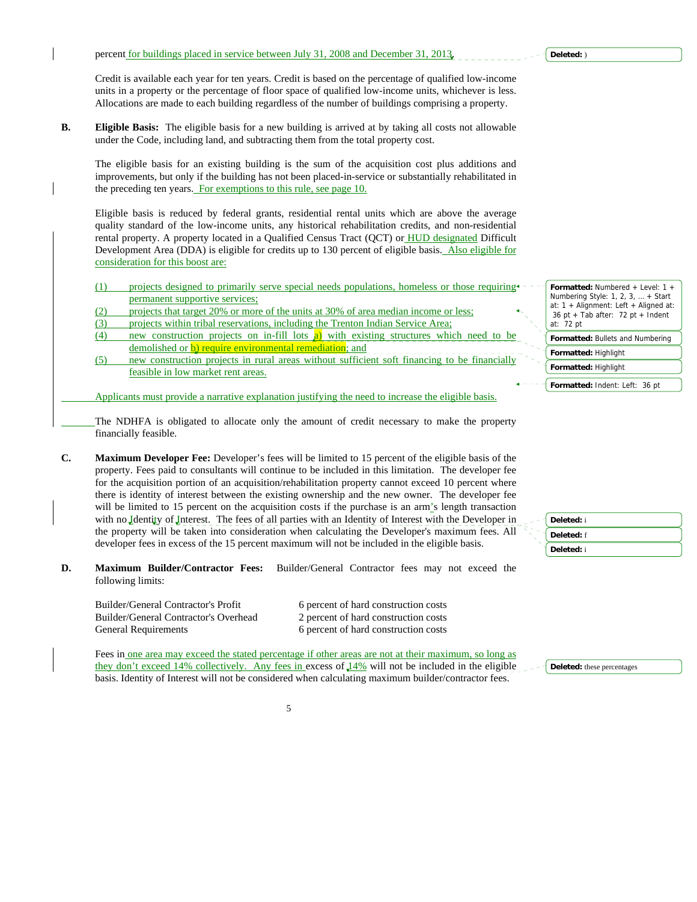Credit is available each year for ten years. Credit is based on the percentage of qualified low-income units in a property or the percentage of floor space of qualified low-income units, whichever is less. Allocations are made to each building regardless of the number of buildings comprising a property.

**B. Eligible Basis:** The eligible basis for a new building is arrived at by taking all costs not allowable under the Code, including land, and subtracting them from the total property cost.

 The eligible basis for an existing building is the sum of the acquisition cost plus additions and improvements, but only if the building has not been placed-in-service or substantially rehabilitated in the preceding ten years. For exemptions to this rule, see page 10.

 Eligible basis is reduced by federal grants, residential rental units which are above the average quality standard of the low-income units, any historical rehabilitation credits, and non-residential rental property. A property located in a Qualified Census Tract (QCT) or HUD designated Difficult Development Area (DDA) is eligible for credits up to 130 percent of eligible basis. Also eligible for consideration for this boost are:

- $(1)$  projects designed to primarily serve special needs populations, homeless or those requiring permanent supportive services;
- (2) projects that target 20% or more of the units at 30% of area median income or less;
- (3) projects within tribal reservations, including the Trenton Indian Service Area;
- (4) new construction projects on in-fill lots a) with existing structures which need to be demolished or **b**) require environmental remediation; and
- (5) new construction projects in rural areas without sufficient soft financing to be financially feasible in low market rent areas.

Applicants must provide a narrative explanation justifying the need to increase the eligible basis.

The NDHFA is obligated to allocate only the amount of credit necessary to make the property financially feasible.

**C. Maximum Developer Fee:** Developer's fees will be limited to 15 percent of the eligible basis of the property. Fees paid to consultants will continue to be included in this limitation. The developer fee for the acquisition portion of an acquisition/rehabilitation property cannot exceed 10 percent where there is identity of interest between the existing ownership and the new owner. The developer fee will be limited to 15 percent on the acquisition costs if the purchase is an arm's length transaction with no Identity of Interest. The fees of all parties with an Identity of Interest with the Developer in the property will be taken into consideration when calculating the Developer's maximum fees. All developer fees in excess of the 15 percent maximum will not be included in the eligible basis.

**D. Maximum Builder/Contractor Fees:** Builder/General Contractor fees may not exceed the following limits:

 Builder/General Contractor's Overhead 2 percent of hard construction costs General Requirements 6 percent of hard construction costs

Builder/General Contractor's Profit 6 percent of hard construction costs

Fees in one area may exceed the stated percentage if other areas are not at their maximum, so long as they don't exceed 14% collectively. Any fees in excess of  $14\%$  will not be included in the eligible basis. Identity of Interest will not be considered when calculating maximum builder/contractor fees.



**Deleted:** these percentages

- **Formatted:** Numbered + Level: 1 + Numbering Style: 1, 2, 3, … + Start
- at: 1 + Alignment: Left + Aligned at: 36 pt + Tab after: 72 pt + Indent at: 72 pt
- **Formatted:** Bullets and Numbering
- **Formatted:** Highlight

**Formatted:** Highlight





**Formatted:** Indent: Left: 36 pt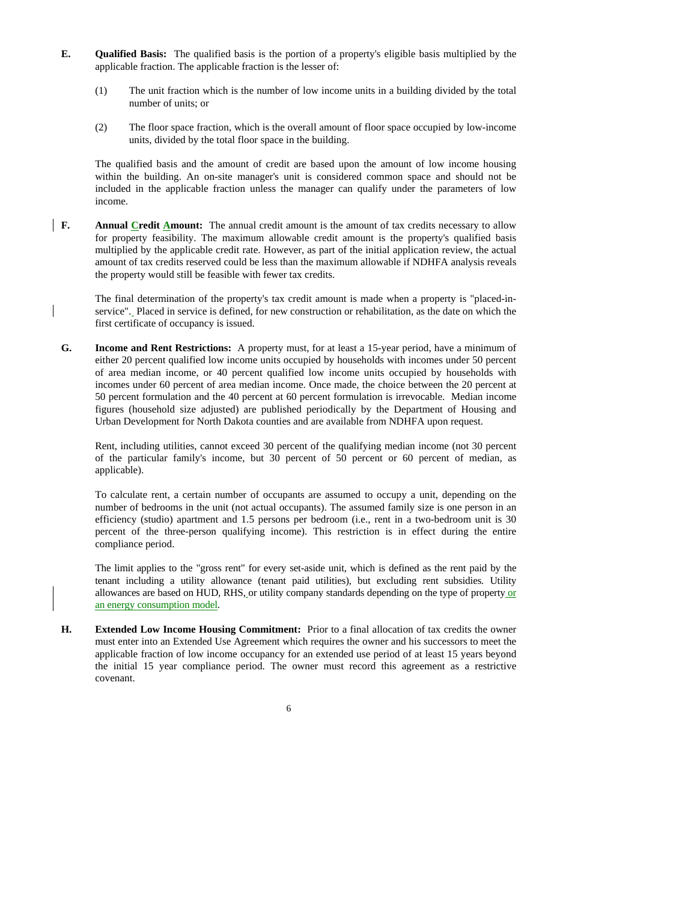- **E. Qualified Basis:** The qualified basis is the portion of a property's eligible basis multiplied by the applicable fraction. The applicable fraction is the lesser of:
	- (1) The unit fraction which is the number of low income units in a building divided by the total number of units; or
	- (2) The floor space fraction, which is the overall amount of floor space occupied by low-income units, divided by the total floor space in the building.

 The qualified basis and the amount of credit are based upon the amount of low income housing within the building. An on-site manager's unit is considered common space and should not be included in the applicable fraction unless the manager can qualify under the parameters of low income.

**F.** Annual Credit Amount: The annual credit amount is the amount of tax credits necessary to allow for property feasibility. The maximum allowable credit amount is the property's qualified basis multiplied by the applicable credit rate. However, as part of the initial application review, the actual amount of tax credits reserved could be less than the maximum allowable if NDHFA analysis reveals the property would still be feasible with fewer tax credits.

 The final determination of the property's tax credit amount is made when a property is "placed-inservice". Placed in service is defined, for new construction or rehabilitation, as the date on which the first certificate of occupancy is issued.

**G. Income and Rent Restrictions:** A property must, for at least a 15-year period, have a minimum of either 20 percent qualified low income units occupied by households with incomes under 50 percent of area median income, or 40 percent qualified low income units occupied by households with incomes under 60 percent of area median income. Once made, the choice between the 20 percent at 50 percent formulation and the 40 percent at 60 percent formulation is irrevocable. Median income figures (household size adjusted) are published periodically by the Department of Housing and Urban Development for North Dakota counties and are available from NDHFA upon request.

 Rent, including utilities, cannot exceed 30 percent of the qualifying median income (not 30 percent of the particular family's income, but 30 percent of 50 percent or 60 percent of median, as applicable).

 To calculate rent, a certain number of occupants are assumed to occupy a unit, depending on the number of bedrooms in the unit (not actual occupants). The assumed family size is one person in an efficiency (studio) apartment and 1.5 persons per bedroom (i.e., rent in a two-bedroom unit is 30 percent of the three-person qualifying income). This restriction is in effect during the entire compliance period.

 The limit applies to the "gross rent" for every set-aside unit, which is defined as the rent paid by the tenant including a utility allowance (tenant paid utilities), but excluding rent subsidies. Utility allowances are based on HUD, RHS, or utility company standards depending on the type of property or an energy consumption model.

**H. Extended Low Income Housing Commitment:** Prior to a final allocation of tax credits the owner must enter into an Extended Use Agreement which requires the owner and his successors to meet the applicable fraction of low income occupancy for an extended use period of at least 15 years beyond the initial 15 year compliance period. The owner must record this agreement as a restrictive covenant.

 $\sim$  6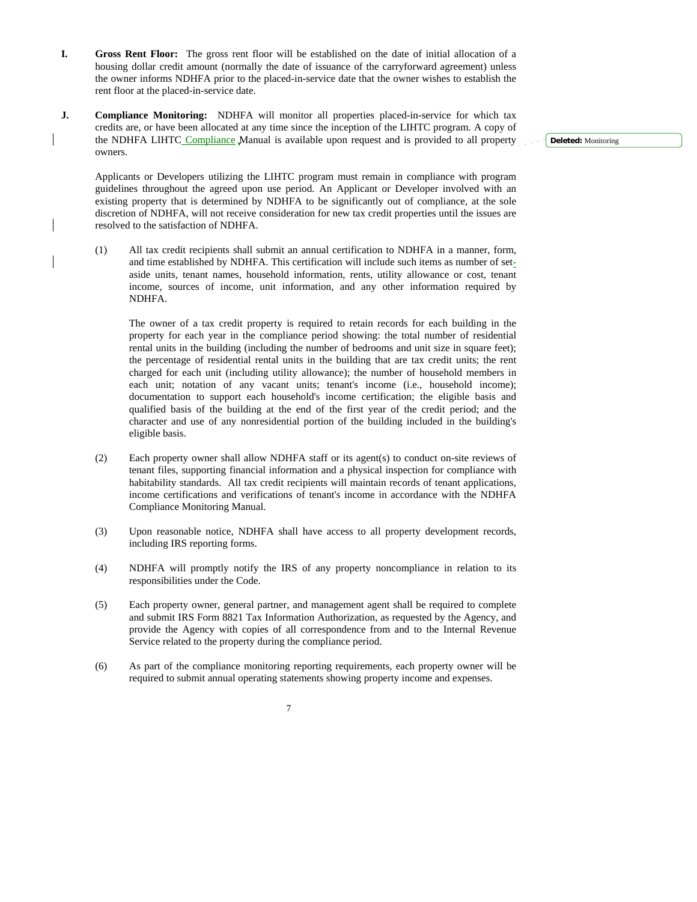- **I. Gross Rent Floor:** The gross rent floor will be established on the date of initial allocation of a housing dollar credit amount (normally the date of issuance of the carryforward agreement) unless the owner informs NDHFA prior to the placed-in-service date that the owner wishes to establish the rent floor at the placed-in-service date.
- **J. Compliance Monitoring:** NDHFA will monitor all properties placed-in-service for which tax credits are, or have been allocated at any time since the inception of the LIHTC program. A copy of the NDHFA LIHTC Compliance Manual is available upon request and is provided to all property owners.

**Deleted:** Monitoring

 Applicants or Developers utilizing the LIHTC program must remain in compliance with program guidelines throughout the agreed upon use period. An Applicant or Developer involved with an existing property that is determined by NDHFA to be significantly out of compliance, at the sole discretion of NDHFA, will not receive consideration for new tax credit properties until the issues are resolved to the satisfaction of NDHFA.

 (1) All tax credit recipients shall submit an annual certification to NDHFA in a manner, form, and time established by NDHFA. This certification will include such items as number of setaside units, tenant names, household information, rents, utility allowance or cost, tenant income, sources of income, unit information, and any other information required by NDHFA.

 The owner of a tax credit property is required to retain records for each building in the property for each year in the compliance period showing: the total number of residential rental units in the building (including the number of bedrooms and unit size in square feet); the percentage of residential rental units in the building that are tax credit units; the rent charged for each unit (including utility allowance); the number of household members in each unit; notation of any vacant units; tenant's income (i.e., household income); documentation to support each household's income certification; the eligible basis and qualified basis of the building at the end of the first year of the credit period; and the character and use of any nonresidential portion of the building included in the building's eligible basis.

- (2) Each property owner shall allow NDHFA staff or its agent(s) to conduct on-site reviews of tenant files, supporting financial information and a physical inspection for compliance with habitability standards. All tax credit recipients will maintain records of tenant applications, income certifications and verifications of tenant's income in accordance with the NDHFA Compliance Monitoring Manual.
- (3) Upon reasonable notice, NDHFA shall have access to all property development records, including IRS reporting forms.
- (4) NDHFA will promptly notify the IRS of any property noncompliance in relation to its responsibilities under the Code.
- (5) Each property owner, general partner, and management agent shall be required to complete and submit IRS Form 8821 Tax Information Authorization, as requested by the Agency, and provide the Agency with copies of all correspondence from and to the Internal Revenue Service related to the property during the compliance period.
- (6) As part of the compliance monitoring reporting requirements, each property owner will be required to submit annual operating statements showing property income and expenses.
- 7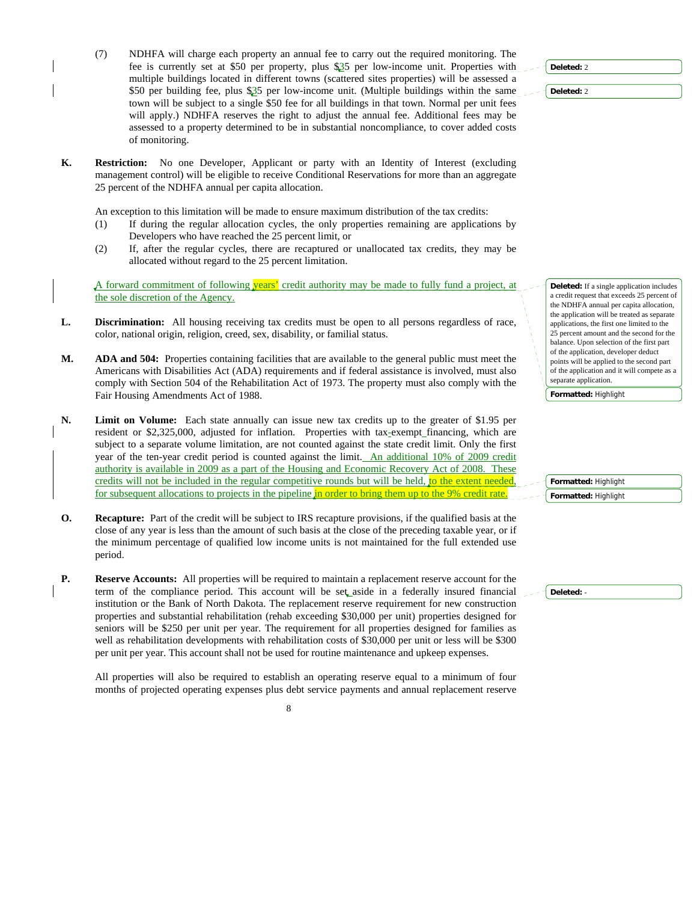- (7) NDHFA will charge each property an annual fee to carry out the required monitoring. The fee is currently set at \$50 per property, plus \$35 per low-income unit. Properties with multiple buildings located in different towns (scattered sites properties) will be assessed a \$50 per building fee, plus \$35 per low-income unit. (Multiple buildings within the same town will be subject to a single \$50 fee for all buildings in that town. Normal per unit fees will apply.) NDHFA reserves the right to adjust the annual fee. Additional fees may be assessed to a property determined to be in substantial noncompliance, to cover added costs of monitoring.
- **K. Restriction:** No one Developer, Applicant or party with an Identity of Interest (excluding management control) will be eligible to receive Conditional Reservations for more than an aggregate 25 percent of the NDHFA annual per capita allocation.

An exception to this limitation will be made to ensure maximum distribution of the tax credits:

- (1) If during the regular allocation cycles, the only properties remaining are applications by Developers who have reached the 25 percent limit, or
- (2) If, after the regular cycles, there are recaptured or unallocated tax credits, they may be allocated without regard to the 25 percent limitation.

A forward commitment of following years' credit authority may be made to fully fund a project, at the sole discretion of the Agency.

- **L. Discrimination:** All housing receiving tax credits must be open to all persons regardless of race, color, national origin, religion, creed, sex, disability, or familial status.
- **M. ADA and 504:** Properties containing facilities that are available to the general public must meet the Americans with Disabilities Act (ADA) requirements and if federal assistance is involved, must also comply with Section 504 of the Rehabilitation Act of 1973. The property must also comply with the Fair Housing Amendments Act of 1988.
- **N. Limit on Volume:** Each state annually can issue new tax credits up to the greater of \$1.95 per resident or \$2,325,000, adjusted for inflation. Properties with tax-exempt\_financing, which are subject to a separate volume limitation, are not counted against the state credit limit. Only the first year of the ten-year credit period is counted against the limit. An additional 10% of 2009 credit authority is available in 2009 as a part of the Housing and Economic Recovery Act of 2008. These credits will not be included in the regular competitive rounds but will be held, to the extent needed for subsequent allocations to projects in the pipeline in order to bring them up to the 9% credit rate.
- **O. Recapture:** Part of the credit will be subject to IRS recapture provisions, if the qualified basis at the close of any year is less than the amount of such basis at the close of the preceding taxable year, or if the minimum percentage of qualified low income units is not maintained for the full extended use period.
- **P.** Reserve Accounts: All properties will be required to maintain a replacement reserve account for the term of the compliance period. This account will be set aside in a federally insured financial institution or the Bank of North Dakota. The replacement reserve requirement for new construction properties and substantial rehabilitation (rehab exceeding \$30,000 per unit) properties designed for seniors will be \$250 per unit per year. The requirement for all properties designed for families as well as rehabilitation developments with rehabilitation costs of \$30,000 per unit or less will be \$300 per unit per year. This account shall not be used for routine maintenance and upkeep expenses.

 All properties will also be required to establish an operating reserve equal to a minimum of four months of projected operating expenses plus debt service payments and annual replacement reserve



**Deleted:** 2

**Deleted:** 2

**Deleted:** If a single application includes a credit request that exceeds 25 percent of the NDHFA annual per capita allocation, the application will be treated as separate applications, the first one limited to the 25 percent amount and the second for the balance. Upon selection of the first part of the application, developer deduct points will be applied to the second part of the application and it will compete as a separate application.

**Formatted:** Highlight

**Formatted:** Highlight

**Formatted:** Highlight

**Deleted:** -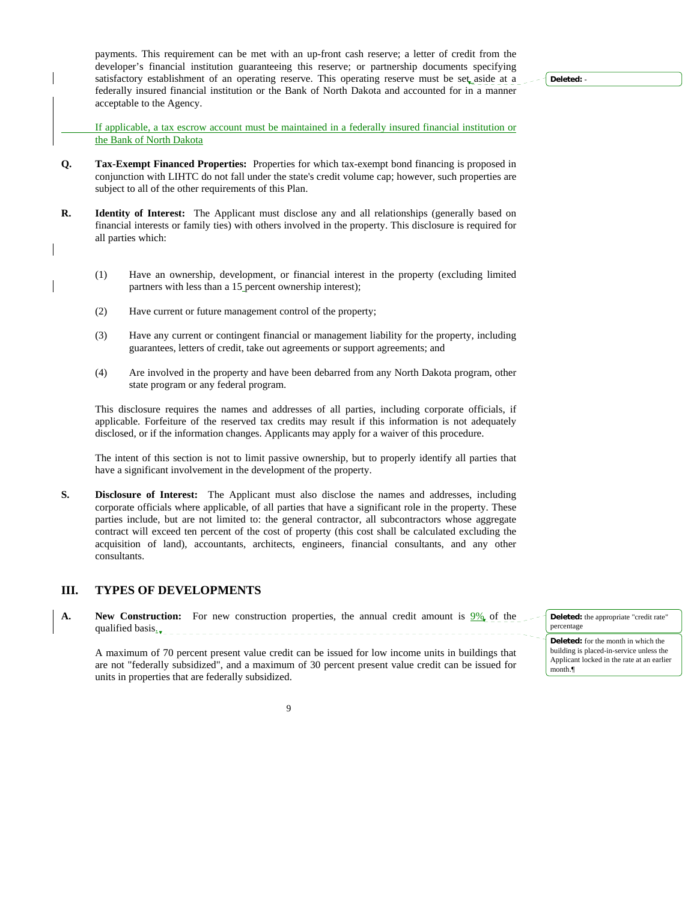payments. This requirement can be met with an up-front cash reserve; a letter of credit from the developer's financial institution guaranteeing this reserve; or partnership documents specifying satisfactory establishment of an operating reserve. This operating reserve must be set aside at a federally insured financial institution or the Bank of North Dakota and accounted for in a manner acceptable to the Agency.

**Deleted:** -

 If applicable, a tax escrow account must be maintained in a federally insured financial institution or the Bank of North Dakota

- **Q. Tax-Exempt Financed Properties:** Properties for which tax-exempt bond financing is proposed in conjunction with LIHTC do not fall under the state's credit volume cap; however, such properties are subject to all of the other requirements of this Plan.
- **R. Identity of Interest:** The Applicant must disclose any and all relationships (generally based on financial interests or family ties) with others involved in the property. This disclosure is required for all parties which:
	- (1) Have an ownership, development, or financial interest in the property (excluding limited partners with less than a 15 percent ownership interest);
	- (2) Have current or future management control of the property;
	- (3) Have any current or contingent financial or management liability for the property, including guarantees, letters of credit, take out agreements or support agreements; and
	- (4) Are involved in the property and have been debarred from any North Dakota program, other state program or any federal program.

 This disclosure requires the names and addresses of all parties, including corporate officials, if applicable. Forfeiture of the reserved tax credits may result if this information is not adequately disclosed, or if the information changes. Applicants may apply for a waiver of this procedure.

 The intent of this section is not to limit passive ownership, but to properly identify all parties that have a significant involvement in the development of the property.

**S. Disclosure of Interest:** The Applicant must also disclose the names and addresses, including corporate officials where applicable, of all parties that have a significant role in the property. These parties include, but are not limited to: the general contractor, all subcontractors whose aggregate contract will exceed ten percent of the cost of property (this cost shall be calculated excluding the acquisition of land), accountants, architects, engineers, financial consultants, and any other consultants.

## **III. TYPES OF DEVELOPMENTS**

**A.** New Construction: For new construction properties, the annual credit amount is  $\frac{9\%}{2}$  of the qualified basis.

 A maximum of 70 percent present value credit can be issued for low income units in buildings that are not "federally subsidized", and a maximum of 30 percent present value credit can be issued for units in properties that are federally subsidized.

**Deleted:** the appropriate "credit rate" percentage **Deleted:** for the month in which the

building is placed-in-service unless the Applicant locked in the rate at an earlier month.¶

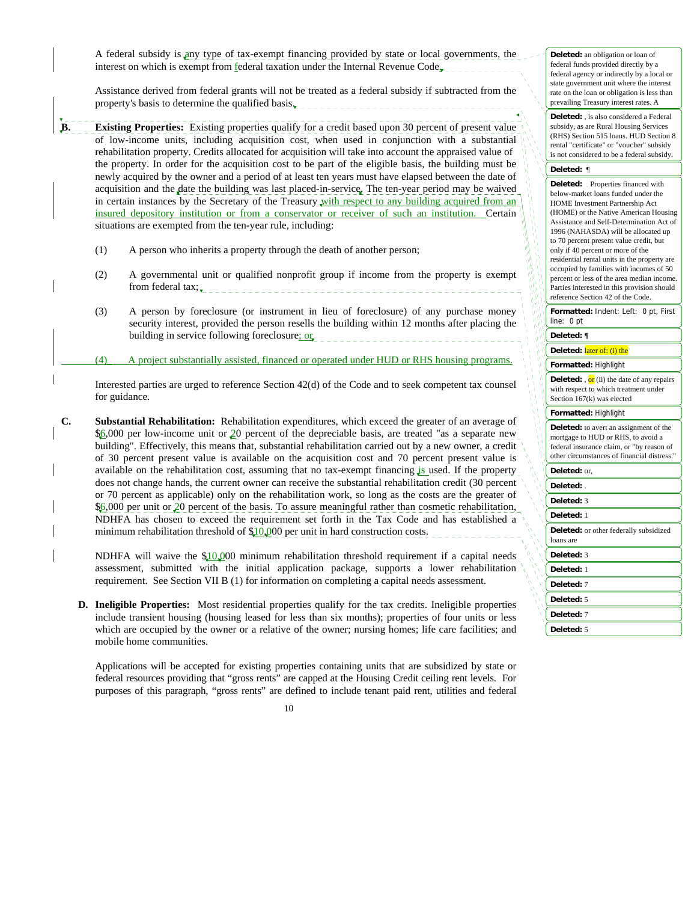A federal subsidy is any type of tax-exempt financing provided by state or local governments, the interest on which is exempt from federal taxation under the Internal Revenue Code<sub>x</sub>

 Assistance derived from federal grants will not be treated as a federal subsidy if subtracted from the property's basis to determine the qualified basis $\overline{\mathbf{r}}$ 

**B.** Existing Properties: Existing properties qualify for a credit based upon 30 percent of present value of low-income units, including acquisition cost, when used in conjunction with a substantial rehabilitation property. Credits allocated for acquisition will take into account the appraised value of the property. In order for the acquisition cost to be part of the eligible basis, the building must be newly acquired by the owner and a period of at least ten years must have elapsed between the date of acquisition and the date the building was last placed-in-service. The ten-year period may be waived in certain instances by the Secretary of the Treasury with respect to any building acquired from an insured depository institution or from a conservator or receiver of such an institution. Certain situations are exempted from the ten-year rule, including:

- (1) A person who inherits a property through the death of another person;
- (2) A governmental unit or qualified nonprofit group if income from the property is exempt from federal tax;
- (3) A person by foreclosure (or instrument in lieu of foreclosure) of any purchase money security interest, provided the person resells the building within 12 months after placing the building in service following foreclosure; or **or**  $\frac{1}{2}$  **or**  $\frac{1}{2}$  **lateral contract to the service of the service of the service of the service of the service of the service of the service of the service of the s**

(4)\_ A project substantially assisted, financed or operated under HUD or RHS housing programs.

 Interested parties are urged to reference Section 42(d) of the Code and to seek competent tax counsel for guidance.

**C. Substantial Rehabilitation:** Rehabilitation expenditures, which exceed the greater of an average of \$6,000 per low-income unit or 20 percent of the depreciable basis, are treated "as a separate new building". Effectively, this means that, substantial rehabilitation carried out by a new owner, a credit of 30 percent present value is available on the acquisition cost and 70 percent present value is available on the rehabilitation cost, assuming that no tax-exempt financing is used. If the property does not change hands, the current owner can receive the substantial rehabilitation credit (30 percent or 70 percent as applicable) only on the rehabilitation work, so long as the costs are the greater of \$6,000 per unit or 20 percent of the basis. To assure meaningful rather than cosmetic rehabilitation, NDHFA has chosen to exceed the requirement set forth in the Tax Code and has established a minimum rehabilitation threshold of  $10,000$  per unit in hard construction costs.

NDHFA will waive the  $$10,000$  minimum rehabilitation threshold requirement if a capital needs assessment, submitted with the initial application package, supports a lower rehabilitation requirement. See Section VII B (1) for information on completing a capital needs assessment.

**D. Ineligible Properties:** Most residential properties qualify for the tax credits. Ineligible properties include transient housing (housing leased for less than six months); properties of four units or less which are occupied by the owner or a relative of the owner; nursing homes; life care facilities; and mobile home communities.

 Applications will be accepted for existing properties containing units that are subsidized by state or federal resources providing that "gross rents" are capped at the Housing Credit ceiling rent levels. For purposes of this paragraph, "gross rents" are defined to include tenant paid rent, utilities and federal **Deleted:** , is also considered a Federal subsidy, as are Rural Housing Services (RHS) Section 515 loans. HUD Section 8 rental "certificate" or "voucher" subsidy is not considered to be a federal subsidy.

#### **Deleted:** ¶

**Deleted:** Properties financed with below-market loans funded under the HOME Investment Partnership Act (HOME) or the Native American Housing Assistance and Self-Determination Act of 1996 (NAHASDA) will be allocated up to 70 percent present value credit, but only if 40 percent or more of the residential rental units in the property are occupied by families with incomes of 50 percent or less of the area median income. Parties interested in this provision should reference Section 42 of the Code.

**Formatted:** Indent: Left: 0 pt, First line: 0 pt

#### **Deleted: ¶**

**Deleted:** later of: (i) the

#### **Formatted:** Highlight

**Deleted:** , or (ii) the date of any repairs with respect to which treatment under Section 167(k) was elected

#### **Formatted:** Highlight

**Deleted:** to avert an assignment of the mortgage to HUD or RHS, to avoid a federal insurance claim, or "by reason of other circumstances of financial distress."

# **Deleted:** or,

**Deleted:** .

## **Deleted:** 3

**Deleted:** 1

**Deleted:** or other federally subsidized loans are

**Deleted:** 3

**Deleted:** 1

**Deleted:** 7

**Deleted:** 5

**Deleted:** 7

**Deleted:** 5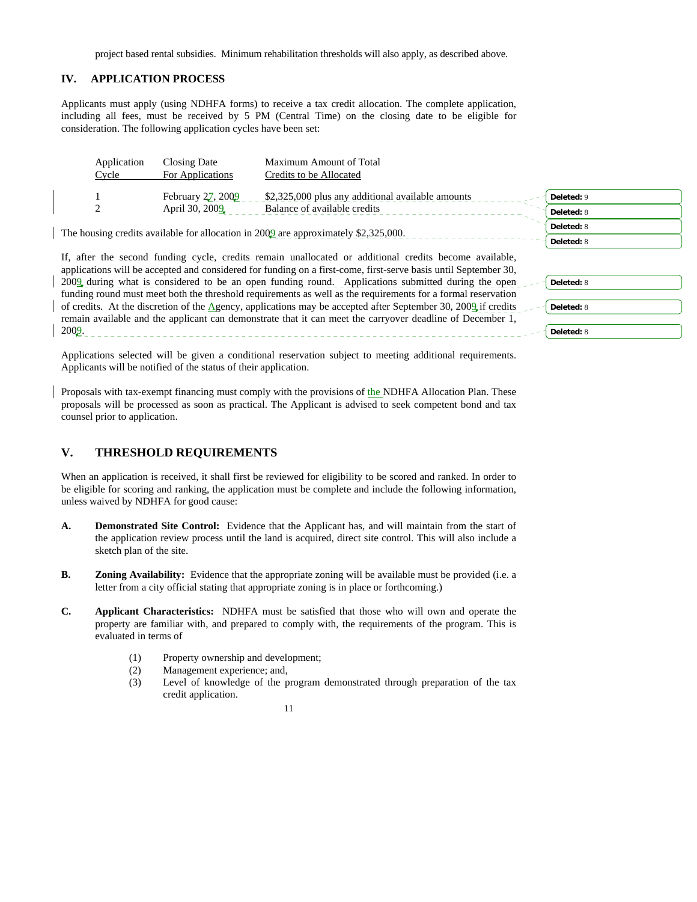project based rental subsidies. Minimum rehabilitation thresholds will also apply, as described above.

### **IV. APPLICATION PROCESS**

Applicants must apply (using NDHFA forms) to receive a tax credit allocation. The complete application, including all fees, must be received by 5 PM (Central Time) on the closing date to be eligible for consideration. The following application cycles have been set:

| Application<br>Cycle | Closing Date<br>For Applications | Maximum Amount of Total<br>Credits to be Allocated                                                     |            |
|----------------------|----------------------------------|--------------------------------------------------------------------------------------------------------|------------|
|                      | February 27, 2009                | \$2,325,000 plus any additional available amounts                                                      | Deleted: 9 |
|                      | April 30, 2009                   | Balance of available credits                                                                           | Deleted: 8 |
|                      |                                  | The housing credits available for allocation in $2009$ are approximately \$2,325,000.                  | Deleted: 8 |
|                      |                                  |                                                                                                        | Deleted: 8 |
|                      |                                  | If, after the second funding cycle, credits remain unallocated or additional credits become available, |            |

applications will be accepted and considered for funding on a first-come, first-serve basis until September 30, 2009 during what is considered to be an open funding round. Applications submitted during the open funding round must meet both the threshold requirements as well as the requirements for a formal reservation of credits. At the discretion of the Agency, applications may be accepted after September 30, 2009 if credits remain available and the applicant can demonstrate that it can meet the carryover deadline of December 1, 2009. **Deleted:** 8 **Deleted:** 8 **Deleted:** 8

Applications selected will be given a conditional reservation subject to meeting additional requirements. Applicants will be notified of the status of their application.

Proposals with tax-exempt financing must comply with the provisions of the NDHFA Allocation Plan. These proposals will be processed as soon as practical. The Applicant is advised to seek competent bond and tax counsel prior to application.

## **V. THRESHOLD REQUIREMENTS**

When an application is received, it shall first be reviewed for eligibility to be scored and ranked. In order to be eligible for scoring and ranking, the application must be complete and include the following information, unless waived by NDHFA for good cause:

- **A. Demonstrated Site Control:** Evidence that the Applicant has, and will maintain from the start of the application review process until the land is acquired, direct site control. This will also include a sketch plan of the site.
- **B. Zoning Availability:** Evidence that the appropriate zoning will be available must be provided (i.e. a letter from a city official stating that appropriate zoning is in place or forthcoming.)
- **C. Applicant Characteristics:** NDHFA must be satisfied that those who will own and operate the property are familiar with, and prepared to comply with, the requirements of the program. This is evaluated in terms of
	- (1) Property ownership and development;
	- (2) Management experience; and,
	- (3) Level of knowledge of the program demonstrated through preparation of the tax credit application.

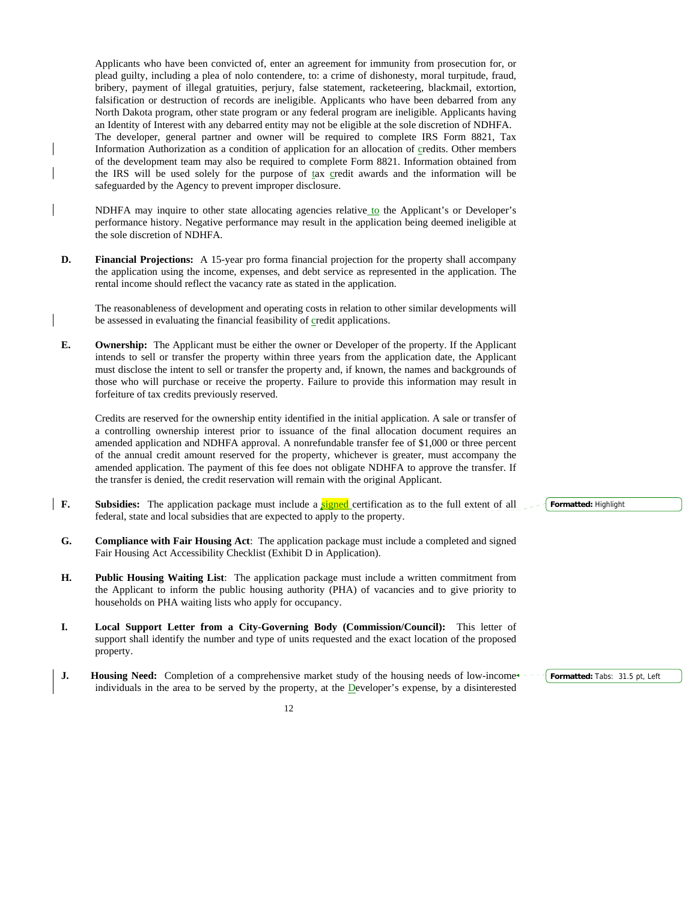Applicants who have been convicted of, enter an agreement for immunity from prosecution for, or plead guilty, including a plea of nolo contendere, to: a crime of dishonesty, moral turpitude, fraud, bribery, payment of illegal gratuities, perjury, false statement, racketeering, blackmail, extortion, falsification or destruction of records are ineligible. Applicants who have been debarred from any North Dakota program, other state program or any federal program are ineligible. Applicants having an Identity of Interest with any debarred entity may not be eligible at the sole discretion of NDHFA. The developer, general partner and owner will be required to complete IRS Form 8821, Tax Information Authorization as a condition of application for an allocation of credits. Other members of the development team may also be required to complete Form 8821. Information obtained from the IRS will be used solely for the purpose of tax credit awards and the information will be safeguarded by the Agency to prevent improper disclosure.

 NDHFA may inquire to other state allocating agencies relative to the Applicant's or Developer's performance history. Negative performance may result in the application being deemed ineligible at the sole discretion of NDHFA.

**D. Financial Projections:** A 15-year pro forma financial projection for the property shall accompany the application using the income, expenses, and debt service as represented in the application. The rental income should reflect the vacancy rate as stated in the application.

 The reasonableness of development and operating costs in relation to other similar developments will be assessed in evaluating the financial feasibility of credit applications.

**E. Ownership:** The Applicant must be either the owner or Developer of the property. If the Applicant intends to sell or transfer the property within three years from the application date, the Applicant must disclose the intent to sell or transfer the property and, if known, the names and backgrounds of those who will purchase or receive the property. Failure to provide this information may result in forfeiture of tax credits previously reserved.

 Credits are reserved for the ownership entity identified in the initial application. A sale or transfer of a controlling ownership interest prior to issuance of the final allocation document requires an amended application and NDHFA approval. A nonrefundable transfer fee of \$1,000 or three percent of the annual credit amount reserved for the property, whichever is greater, must accompany the amended application. The payment of this fee does not obligate NDHFA to approve the transfer. If the transfer is denied, the credit reservation will remain with the original Applicant.

- **F.** Subsidies: The application package must include a signed certification as to the full extent of all federal, state and local subsidies that are expected to apply to the property.
- **G. Compliance with Fair Housing Act**: The application package must include a completed and signed Fair Housing Act Accessibility Checklist (Exhibit D in Application).
- **H. Public Housing Waiting List**: The application package must include a written commitment from the Applicant to inform the public housing authority (PHA) of vacancies and to give priority to households on PHA waiting lists who apply for occupancy.
- **I. Local Support Letter from a City-Governing Body (Commission/Council):** This letter of support shall identify the number and type of units requested and the exact location of the proposed property.
- **J.** Housing Need: Completion of a comprehensive market study of the housing needs of low-incomeindividuals in the area to be served by the property, at the Developer's expense, by a disinterested

**Formatted:** Highlight

**Formatted:** Tabs: 31.5 pt, Left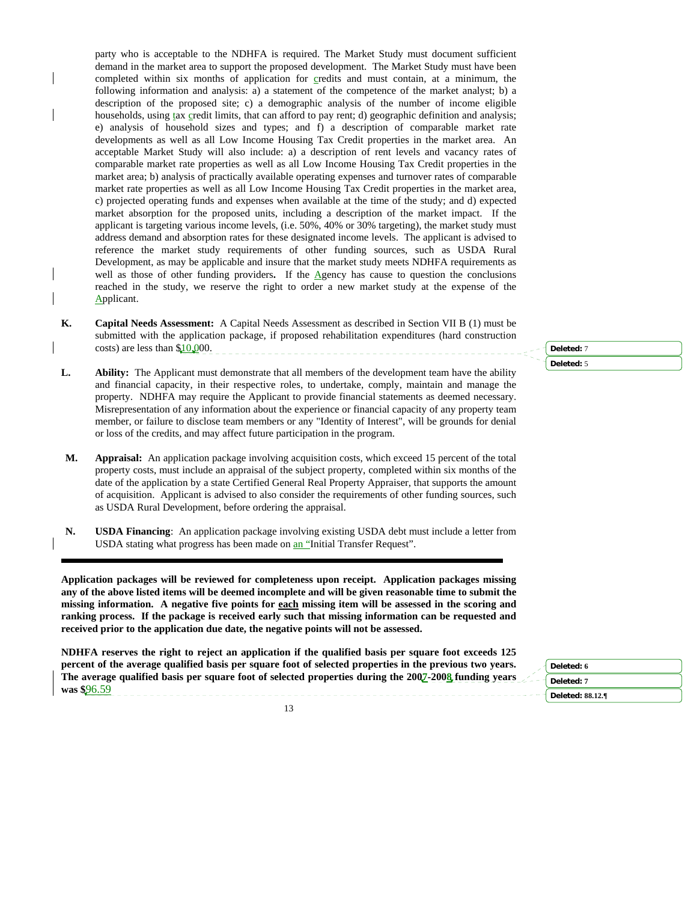party who is acceptable to the NDHFA is required. The Market Study must document sufficient demand in the market area to support the proposed development. The Market Study must have been completed within six months of application for credits and must contain, at a minimum, the following information and analysis: a) a statement of the competence of the market analyst; b) a description of the proposed site; c) a demographic analysis of the number of income eligible households, using tax credit limits, that can afford to pay rent; d) geographic definition and analysis; e) analysis of household sizes and types; and f) a description of comparable market rate developments as well as all Low Income Housing Tax Credit properties in the market area. An acceptable Market Study will also include: a) a description of rent levels and vacancy rates of comparable market rate properties as well as all Low Income Housing Tax Credit properties in the market area; b) analysis of practically available operating expenses and turnover rates of comparable market rate properties as well as all Low Income Housing Tax Credit properties in the market area, c) projected operating funds and expenses when available at the time of the study; and d) expected market absorption for the proposed units, including a description of the market impact. If the applicant is targeting various income levels, (i.e. 50%, 40% or 30% targeting), the market study must address demand and absorption rates for these designated income levels. The applicant is advised to reference the market study requirements of other funding sources, such as USDA Rural Development, as may be applicable and insure that the market study meets NDHFA requirements as well as those of other funding providers. If the Agency has cause to question the conclusions reached in the study, we reserve the right to order a new market study at the expense of the Applicant.

- **K. Capital Needs Assessment:** A Capital Needs Assessment as described in Section VII B (1) must be submitted with the application package, if proposed rehabilitation expenditures (hard construction costs) are less than \$10,000.
- **L. Ability:** The Applicant must demonstrate that all members of the development team have the ability and financial capacity, in their respective roles, to undertake, comply, maintain and manage the property. NDHFA may require the Applicant to provide financial statements as deemed necessary. Misrepresentation of any information about the experience or financial capacity of any property team member, or failure to disclose team members or any "Identity of Interest", will be grounds for denial or loss of the credits, and may affect future participation in the program.
- **M. Appraisal:** An application package involving acquisition costs, which exceed 15 percent of the total property costs, must include an appraisal of the subject property, completed within six months of the date of the application by a state Certified General Real Property Appraiser, that supports the amount of acquisition. Applicant is advised to also consider the requirements of other funding sources, such as USDA Rural Development, before ordering the appraisal.
- **N. USDA Financing**: An application package involving existing USDA debt must include a letter from USDA stating what progress has been made on an "Initial Transfer Request".

֦

**Application packages will be reviewed for completeness upon receipt. Application packages missing any of the above listed items will be deemed incomplete and will be given reasonable time to submit the missing information. A negative five points for each missing item will be assessed in the scoring and ranking process. If the package is received early such that missing information can be requested and received prior to the application due date, the negative points will not be assessed.**

**NDHFA reserves the right to reject an application if the qualified basis per square foot exceeds 125 percent of the average qualified basis per square foot of selected properties in the previous two years. The average qualified basis per square foot of selected properties during the 2007-2008 funding years was \$**96.59

**Deleted: 6 Deleted: 7 Deleted: 88.12.¶**

**Deleted:** 7 **Deleted:** 5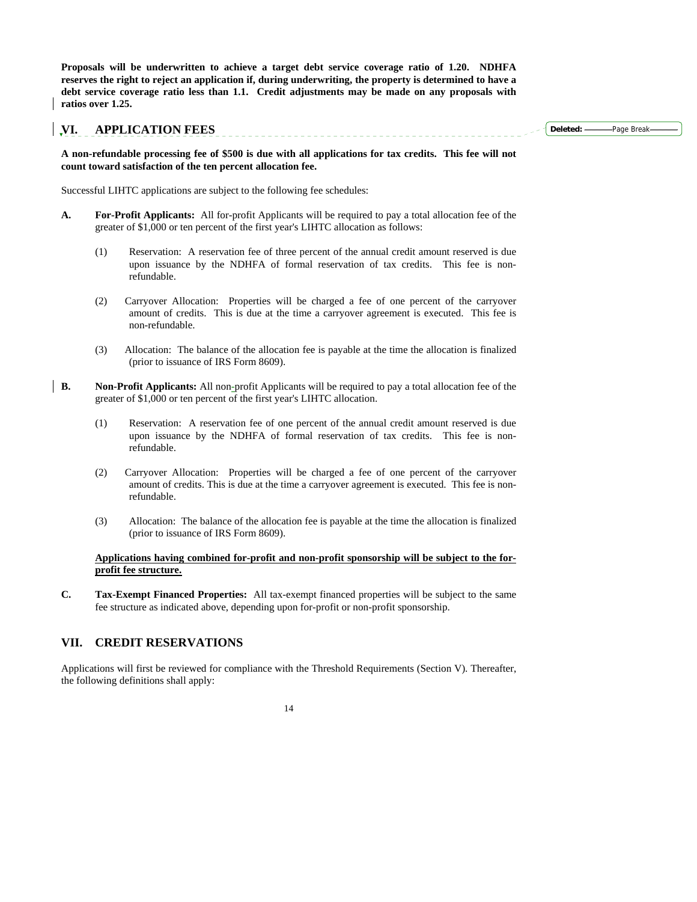**Proposals will be underwritten to achieve a target debt service coverage ratio of 1.20. NDHFA reserves the right to reject an application if, during underwriting, the property is determined to have a debt service coverage ratio less than 1.1. Credit adjustments may be made on any proposals with ratios over 1.25.**

## **VI. APPLICATION FEES**

**Deleted:** Page Break

**A non-refundable processing fee of \$500 is due with all applications for tax credits. This fee will not count toward satisfaction of the ten percent allocation fee.** 

Successful LIHTC applications are subject to the following fee schedules:

- **A. For-Profit Applicants:** All for-profit Applicants will be required to pay a total allocation fee of the greater of \$1,000 or ten percent of the first year's LIHTC allocation as follows:
	- (1) Reservation: A reservation fee of three percent of the annual credit amount reserved is due upon issuance by the NDHFA of formal reservation of tax credits. This fee is nonrefundable.
	- (2) Carryover Allocation: Properties will be charged a fee of one percent of the carryover amount of credits. This is due at the time a carryover agreement is executed. This fee is non-refundable.
	- (3) Allocation: The balance of the allocation fee is payable at the time the allocation is finalized (prior to issuance of IRS Form 8609).
- **B.** Non-Profit Applicants: All non-profit Applicants will be required to pay a total allocation fee of the greater of \$1,000 or ten percent of the first year's LIHTC allocation.
	- (1) Reservation: A reservation fee of one percent of the annual credit amount reserved is due upon issuance by the NDHFA of formal reservation of tax credits. This fee is nonrefundable.
	- (2) Carryover Allocation: Properties will be charged a fee of one percent of the carryover amount of credits. This is due at the time a carryover agreement is executed. This fee is nonrefundable.
	- (3) Allocation: The balance of the allocation fee is payable at the time the allocation is finalized (prior to issuance of IRS Form 8609).

## **Applications having combined for-profit and non-profit sponsorship will be subject to the forprofit fee structure.**

**C. Tax-Exempt Financed Properties:** All tax-exempt financed properties will be subject to the same fee structure as indicated above, depending upon for-profit or non-profit sponsorship.

## **VII. CREDIT RESERVATIONS**

Applications will first be reviewed for compliance with the Threshold Requirements (Section V). Thereafter, the following definitions shall apply: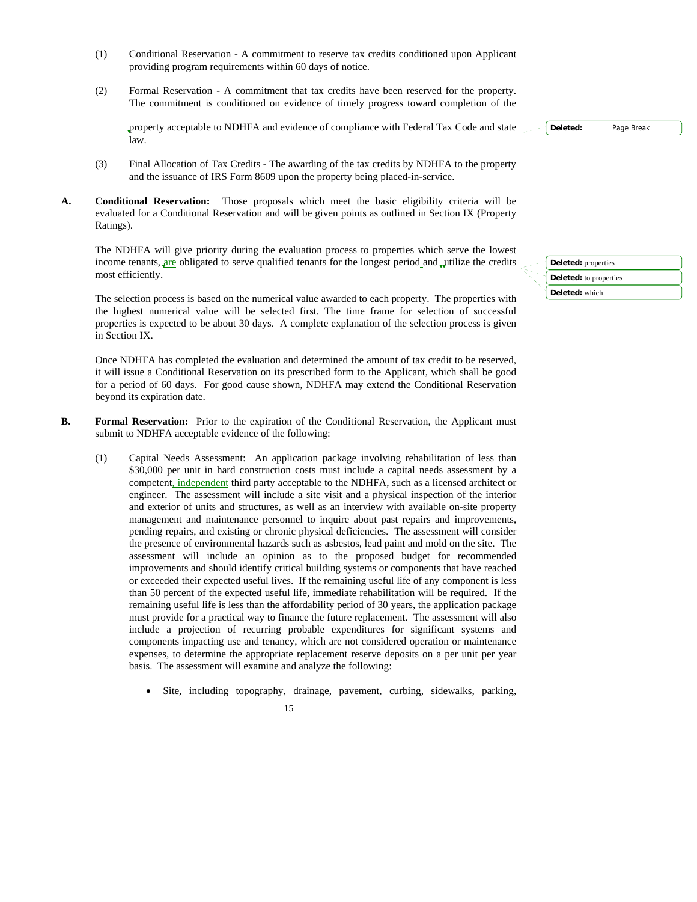- (1) Conditional Reservation A commitment to reserve tax credits conditioned upon Applicant providing program requirements within 60 days of notice.
- (2) Formal Reservation A commitment that tax credits have been reserved for the property. The commitment is conditioned on evidence of timely progress toward completion of the

property acceptable to NDHFA and evidence of compliance with Federal Tax Code and state law.

- (3) Final Allocation of Tax Credits The awarding of the tax credits by NDHFA to the property and the issuance of IRS Form 8609 upon the property being placed-in-service.
- **A. Conditional Reservation:** Those proposals which meet the basic eligibility criteria will be evaluated for a Conditional Reservation and will be given points as outlined in Section IX (Property Ratings).

 The NDHFA will give priority during the evaluation process to properties which serve the lowest income tenants, are obligated to serve qualified tenants for the longest period and utilize the credits most efficiently.

 The selection process is based on the numerical value awarded to each property. The properties with the highest numerical value will be selected first. The time frame for selection of successful properties is expected to be about 30 days. A complete explanation of the selection process is given in Section IX.

 Once NDHFA has completed the evaluation and determined the amount of tax credit to be reserved, it will issue a Conditional Reservation on its prescribed form to the Applicant, which shall be good for a period of 60 days. For good cause shown, NDHFA may extend the Conditional Reservation beyond its expiration date.

- **B.** Formal Reservation: Prior to the expiration of the Conditional Reservation, the Applicant must submit to NDHFA acceptable evidence of the following:
	- (1) Capital Needs Assessment: An application package involving rehabilitation of less than \$30,000 per unit in hard construction costs must include a capital needs assessment by a competent, independent third party acceptable to the NDHFA, such as a licensed architect or engineer. The assessment will include a site visit and a physical inspection of the interior and exterior of units and structures, as well as an interview with available on-site property management and maintenance personnel to inquire about past repairs and improvements, pending repairs, and existing or chronic physical deficiencies. The assessment will consider the presence of environmental hazards such as asbestos, lead paint and mold on the site. The assessment will include an opinion as to the proposed budget for recommended improvements and should identify critical building systems or components that have reached or exceeded their expected useful lives. If the remaining useful life of any component is less than 50 percent of the expected useful life, immediate rehabilitation will be required. If the remaining useful life is less than the affordability period of 30 years, the application package must provide for a practical way to finance the future replacement. The assessment will also include a projection of recurring probable expenditures for significant systems and components impacting use and tenancy, which are not considered operation or maintenance expenses, to determine the appropriate replacement reserve deposits on a per unit per year basis. The assessment will examine and analyze the following:
		- Site, including topography, drainage, pavement, curbing, sidewalks, parking,
	- 15

**Deleted:** properties **Deleted:** to properties

**Deleted:** which

Deleted: ------------- Page Break--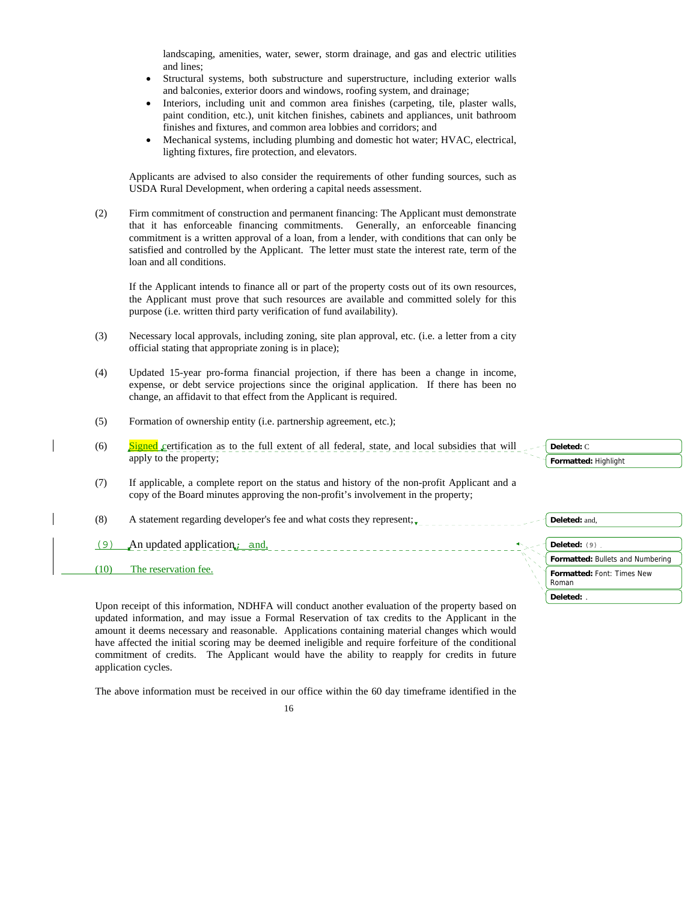landscaping, amenities, water, sewer, storm drainage, and gas and electric utilities and lines;

- Structural systems, both substructure and superstructure, including exterior walls and balconies, exterior doors and windows, roofing system, and drainage;
- Interiors, including unit and common area finishes (carpeting, tile, plaster walls, paint condition, etc.), unit kitchen finishes, cabinets and appliances, unit bathroom finishes and fixtures, and common area lobbies and corridors; and
- Mechanical systems, including plumbing and domestic hot water; HVAC, electrical, lighting fixtures, fire protection, and elevators.

Applicants are advised to also consider the requirements of other funding sources, such as USDA Rural Development, when ordering a capital needs assessment.

(2) Firm commitment of construction and permanent financing: The Applicant must demonstrate that it has enforceable financing commitments. Generally, an enforceable financing commitment is a written approval of a loan, from a lender, with conditions that can only be satisfied and controlled by the Applicant. The letter must state the interest rate, term of the loan and all conditions.

 If the Applicant intends to finance all or part of the property costs out of its own resources, the Applicant must prove that such resources are available and committed solely for this purpose (i.e. written third party verification of fund availability).

- (3) Necessary local approvals, including zoning, site plan approval, etc. (i.e. a letter from a city official stating that appropriate zoning is in place);
- (4) Updated 15-year pro-forma financial projection, if there has been a change in income, expense, or debt service projections since the original application. If there has been no change, an affidavit to that effect from the Applicant is required.
- (5) Formation of ownership entity (i.e. partnership agreement, etc.);
- (6)  $Signed$  certification as to the full extent of all federal, state, and local subsidies that will apply to the property;
- (7) If applicable, a complete report on the status and history of the non-profit Applicant and a copy of the Board minutes approving the non-profit's involvement in the property;

(8) A statement regarding developer's fee and what costs they represent;  $\overline{z}$ 

- $(9)$  An updated application; and, (a) and (b) and (c) and (c) and (c) and (c) and (c) and (c) and (c) and (c) and (c) and (c) and (c) and (c) and (c) and (c) and (c) and (c) and (c) and (c) and (c) and (c) and (c) and (c
- (10) The reservation fee.

| Deleted: C                          |  |
|-------------------------------------|--|
| Formatted: Highlight                |  |
|                                     |  |
|                                     |  |
|                                     |  |
| Deleted: and,                       |  |
|                                     |  |
| Deleted: (9).                       |  |
| Formatted: Bullets and Numbering    |  |
| Formatted: Font: Times New<br>Roman |  |

**Deleted:** .

 Upon receipt of this information, NDHFA will conduct another evaluation of the property based on updated information, and may issue a Formal Reservation of tax credits to the Applicant in the amount it deems necessary and reasonable. Applications containing material changes which would have affected the initial scoring may be deemed ineligible and require forfeiture of the conditional commitment of credits. The Applicant would have the ability to reapply for credits in future application cycles.

The above information must be received in our office within the 60 day timeframe identified in the

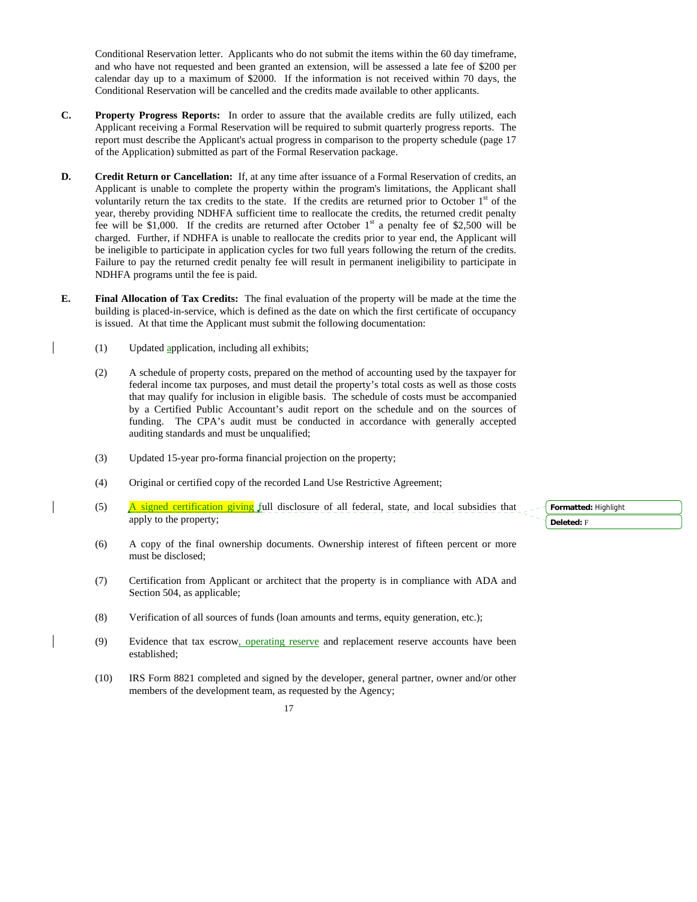Conditional Reservation letter. Applicants who do not submit the items within the 60 day timeframe, and who have not requested and been granted an extension, will be assessed a late fee of \$200 per calendar day up to a maximum of \$2000. If the information is not received within 70 days, the Conditional Reservation will be cancelled and the credits made available to other applicants.

- **C. Property Progress Reports:** In order to assure that the available credits are fully utilized, each Applicant receiving a Formal Reservation will be required to submit quarterly progress reports. The report must describe the Applicant's actual progress in comparison to the property schedule (page 17 of the Application) submitted as part of the Formal Reservation package.
- **D. Credit Return or Cancellation:** If, at any time after issuance of a Formal Reservation of credits, an Applicant is unable to complete the property within the program's limitations, the Applicant shall voluntarily return the tax credits to the state. If the credits are returned prior to October  $1<sup>st</sup>$  of the year, thereby providing NDHFA sufficient time to reallocate the credits, the returned credit penalty fee will be \$1,000. If the credits are returned after October  $1<sup>st</sup>$  a penalty fee of \$2,500 will be charged. Further, if NDHFA is unable to reallocate the credits prior to year end, the Applicant will be ineligible to participate in application cycles for two full years following the return of the credits. Failure to pay the returned credit penalty fee will result in permanent ineligibility to participate in NDHFA programs until the fee is paid.
- **E. Final Allocation of Tax Credits:** The final evaluation of the property will be made at the time the building is placed-in-service, which is defined as the date on which the first certificate of occupancy is issued. At that time the Applicant must submit the following documentation:
	- (1) Updated application, including all exhibits;
	- (2) A schedule of property costs, prepared on the method of accounting used by the taxpayer for federal income tax purposes, and must detail the property's total costs as well as those costs that may qualify for inclusion in eligible basis. The schedule of costs must be accompanied by a Certified Public Accountant's audit report on the schedule and on the sources of funding. The CPA's audit must be conducted in accordance with generally accepted auditing standards and must be unqualified;
	- (3) Updated 15-year pro-forma financial projection on the property;
	- (4) Original or certified copy of the recorded Land Use Restrictive Agreement;
	- (5) A signed certification giving full disclosure of all federal, state, and local subsidies that apply to the property;
	- (6) A copy of the final ownership documents. Ownership interest of fifteen percent or more must be disclosed;
	- (7) Certification from Applicant or architect that the property is in compliance with ADA and Section 504, as applicable;
	- (8) Verification of all sources of funds (loan amounts and terms, equity generation, etc.);
	- (9) Evidence that tax escrow, operating reserve and replacement reserve accounts have been established;
	- (10) IRS Form 8821 completed and signed by the developer, general partner, owner and/or other members of the development team, as requested by the Agency;

17

**Formatted:** Highlight **Deleted:** F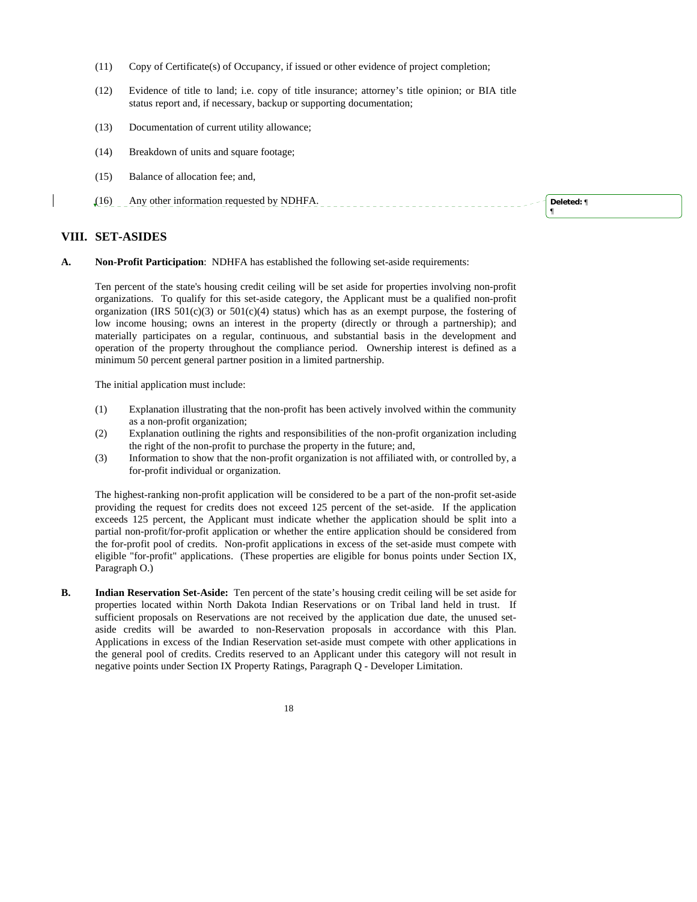- (11) Copy of Certificate(s) of Occupancy, if issued or other evidence of project completion;
- (12) Evidence of title to land; i.e. copy of title insurance; attorney's title opinion; or BIA title status report and, if necessary, backup or supporting documentation;
- (13) Documentation of current utility allowance;
- (14) Breakdown of units and square footage;
- (15) Balance of allocation fee; and,
- (16) Any other information requested by NDHFA.

**Deleted:** ¶ ¶

### **VIII. SET-ASIDES**

**A. Non-Profit Participation**: NDHFA has established the following set-aside requirements:

 Ten percent of the state's housing credit ceiling will be set aside for properties involving non-profit organizations. To qualify for this set-aside category, the Applicant must be a qualified non-profit organization (IRS  $501(c)(3)$  or  $501(c)(4)$  status) which has as an exempt purpose, the fostering of low income housing; owns an interest in the property (directly or through a partnership); and materially participates on a regular, continuous, and substantial basis in the development and operation of the property throughout the compliance period. Ownership interest is defined as a minimum 50 percent general partner position in a limited partnership.

The initial application must include:

- (1) Explanation illustrating that the non-profit has been actively involved within the community as a non-profit organization;
- (2) Explanation outlining the rights and responsibilities of the non-profit organization including the right of the non-profit to purchase the property in the future; and,
- (3) Information to show that the non-profit organization is not affiliated with, or controlled by, a for-profit individual or organization.

 The highest-ranking non-profit application will be considered to be a part of the non-profit set-aside providing the request for credits does not exceed 125 percent of the set-aside. If the application exceeds 125 percent, the Applicant must indicate whether the application should be split into a partial non-profit/for-profit application or whether the entire application should be considered from the for-profit pool of credits. Non-profit applications in excess of the set-aside must compete with eligible "for-profit" applications. (These properties are eligible for bonus points under Section IX, Paragraph O.)

**B. Indian Reservation Set-Aside:** Ten percent of the state's housing credit ceiling will be set aside for properties located within North Dakota Indian Reservations or on Tribal land held in trust. If sufficient proposals on Reservations are not received by the application due date, the unused setaside credits will be awarded to non-Reservation proposals in accordance with this Plan. Applications in excess of the Indian Reservation set-aside must compete with other applications in the general pool of credits. Credits reserved to an Applicant under this category will not result in negative points under Section IX Property Ratings, Paragraph Q - Developer Limitation.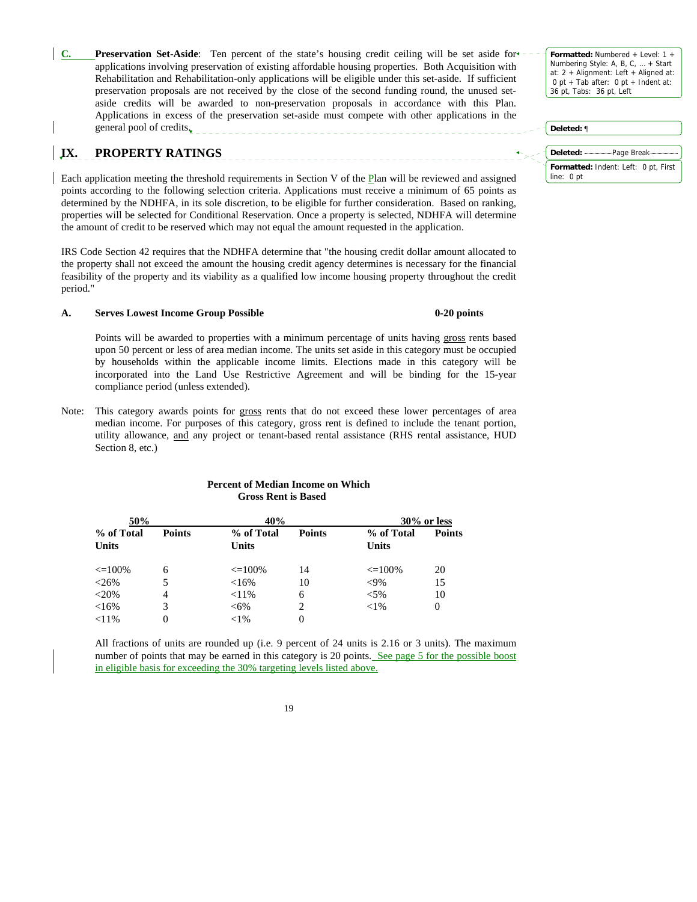**Preservation Set-Aside:** Ten percent of the state's housing credit ceiling will be set aside for applications involving preservation of existing affordable housing properties. Both Acquisition with Rehabilitation and Rehabilitation-only applications will be eligible under this set-aside. If sufficient preservation proposals are not received by the close of the second funding round, the unused setaside credits will be awarded to non-preservation proposals in accordance with this Plan. Applications in excess of the preservation set-aside must compete with other applications in the general pool of credits.

**Formatted:** Numbered + Level: 1 + Numbering Style: A, B, C, … + Start at: 2 + Alignment: Left + Aligned at: 0 pt + Tab after: 0 pt + Indent at: 36 pt, Tabs: 36 pt, Left

# **Formatted:** Indent: Left: 0 pt, First line: 0 pt **Deleted:** ¶ **Deleted:** Page Break

## **IX. PROPERTY RATINGS**

Each application meeting the threshold requirements in Section V of the Plan will be reviewed and assigned points according to the following selection criteria. Applications must receive a minimum of 65 points as determined by the NDHFA, in its sole discretion, to be eligible for further consideration. Based on ranking, properties will be selected for Conditional Reservation. Once a property is selected, NDHFA will determine the amount of credit to be reserved which may not equal the amount requested in the application.

IRS Code Section 42 requires that the NDHFA determine that "the housing credit dollar amount allocated to the property shall not exceed the amount the housing credit agency determines is necessary for the financial feasibility of the property and its viability as a qualified low income housing property throughout the credit period."

#### **A. Serves Lowest Income Group Possible 0-20 points**

 Points will be awarded to properties with a minimum percentage of units having gross rents based upon 50 percent or less of area median income. The units set aside in this category must be occupied by households within the applicable income limits. Elections made in this category will be incorporated into the Land Use Restrictive Agreement and will be binding for the 15-year compliance period (unless extended).

Note: This category awards points for gross rents that do not exceed these lower percentages of area median income. For purposes of this category, gross rent is defined to include the tenant portion, utility allowance, and any project or tenant-based rental assistance (RHS rental assistance, HUD Section 8, etc.)

| 50% |                            | 40%           |                            | $30\%$ or less |                            |               |
|-----|----------------------------|---------------|----------------------------|----------------|----------------------------|---------------|
|     | % of Total<br><b>Units</b> | <b>Points</b> | % of Total<br><b>Units</b> | <b>Points</b>  | % of Total<br><b>Units</b> | <b>Points</b> |
|     | $\leq$ = 100%              | 6             | $\leq 100\%$               | 14             | $\leq$ = 100%              | 20            |
|     | $< 26\%$                   | 5             | <16%                       | 10             | $<$ 9%                     | 15            |
|     | $<$ 20%                    | 4             | $< 11\%$                   | 6              | $< 5\%$                    | 10            |
|     | <16%                       | 3             | $<6\%$                     | 2              | ${<}1\%$                   | 0             |
|     | $< 11\%$                   |               | ${<}1\%$                   | 0              |                            |               |

#### **Percent of Median Income on Which Gross Rent is Based**

 All fractions of units are rounded up (i.e. 9 percent of 24 units is 2.16 or 3 units). The maximum number of points that may be earned in this category is 20 points. See page 5 for the possible boost in eligible basis for exceeding the 30% targeting levels listed above.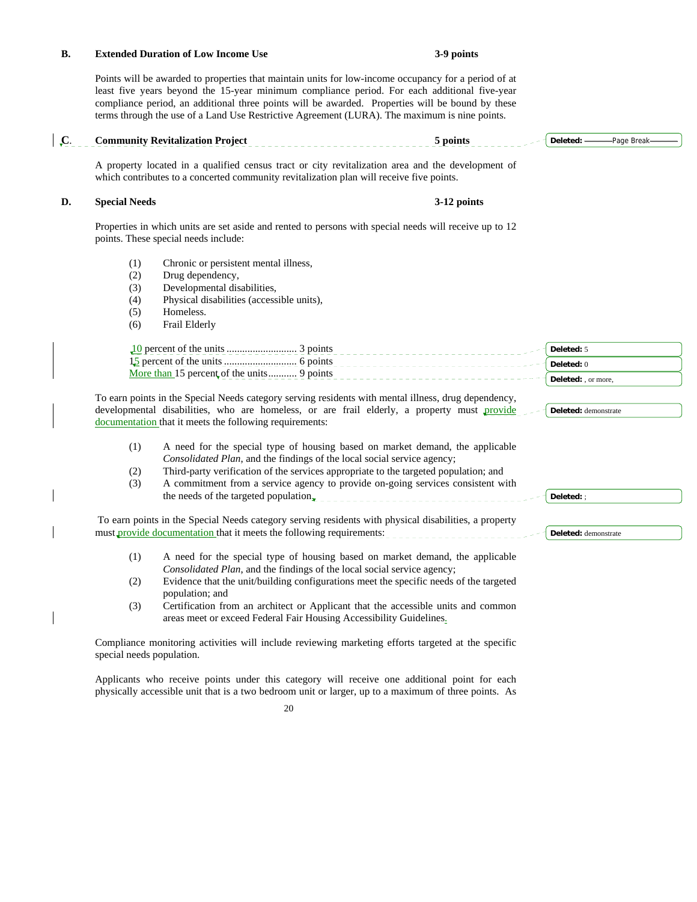#### **B. Extended Duration of Low Income Use 3-9 points**

 Points will be awarded to properties that maintain units for low-income occupancy for a period of at least five years beyond the 15-year minimum compliance period. For each additional five-year compliance period, an additional three points will be awarded. Properties will be bound by these terms through the use of a Land Use Restrictive Agreement (LURA). The maximum is nine points.

|                                        | <b>Community Revitalization Project</b>                                                                                                                                                                                                                                                                                             | 5 points    | Deleted: -                                      | -Page Break- |
|----------------------------------------|-------------------------------------------------------------------------------------------------------------------------------------------------------------------------------------------------------------------------------------------------------------------------------------------------------------------------------------|-------------|-------------------------------------------------|--------------|
|                                        | A property located in a qualified census tract or city revitalization area and the development of<br>which contributes to a concerted community revitalization plan will receive five points.                                                                                                                                       |             |                                                 |              |
| <b>Special Needs</b>                   |                                                                                                                                                                                                                                                                                                                                     | 3-12 points |                                                 |              |
|                                        | Properties in which units are set aside and rented to persons with special needs will receive up to 12<br>points. These special needs include:                                                                                                                                                                                      |             |                                                 |              |
| (1)<br>(2)<br>(3)<br>(4)<br>(5)<br>(6) | Chronic or persistent mental illness,<br>Drug dependency,<br>Developmental disabilities,<br>Physical disabilities (accessible units),<br>Homeless.<br>Frail Elderly                                                                                                                                                                 |             |                                                 |              |
|                                        | More than 15 percent of the units 9 points                                                                                                                                                                                                                                                                                          |             | Deleted: 5<br>Deleted: 0<br>Deleted: , or more, |              |
|                                        | To earn points in the Special Needs category serving residents with mental illness, drug dependency,<br>developmental disabilities, who are homeless, or are frail elderly, a property must provide<br>documentation that it meets the following requirements:                                                                      |             | Deleted: demonstrate                            |              |
| (1)<br>(2)<br>(3)                      | A need for the special type of housing based on market demand, the applicable<br>Consolidated Plan, and the findings of the local social service agency;<br>Third-party verification of the services appropriate to the targeted population; and<br>A commitment from a service agency to provide on-going services consistent with |             |                                                 |              |
|                                        | the needs of the targeted population.                                                                                                                                                                                                                                                                                               |             | Deleted:;                                       |              |
|                                        | To earn points in the Special Needs category serving residents with physical disabilities, a property<br>must provide documentation that it meets the following requirements:                                                                                                                                                       |             | Deleted: demonstrate                            |              |
| (1)                                    | A need for the special type of housing based on market demand, the applicable<br>Consolidated Plan, and the findings of the local social service agency;                                                                                                                                                                            |             |                                                 |              |
| (2)                                    | Evidence that the unit/building configurations meet the specific needs of the targeted<br>population; and                                                                                                                                                                                                                           |             |                                                 |              |
| (3)                                    | Certification from an architect or Applicant that the accessible units and common<br>areas meet or exceed Federal Fair Housing Accessibility Guidelines.                                                                                                                                                                            |             |                                                 |              |
| special needs population.              | Compliance monitoring activities will include reviewing marketing efforts targeted at the specific                                                                                                                                                                                                                                  |             |                                                 |              |
|                                        | Applicants who receive points under this category will receive one additional point for each                                                                                                                                                                                                                                        |             |                                                 |              |

20

physically accessible unit that is a two bedroom unit or larger, up to a maximum of three points. As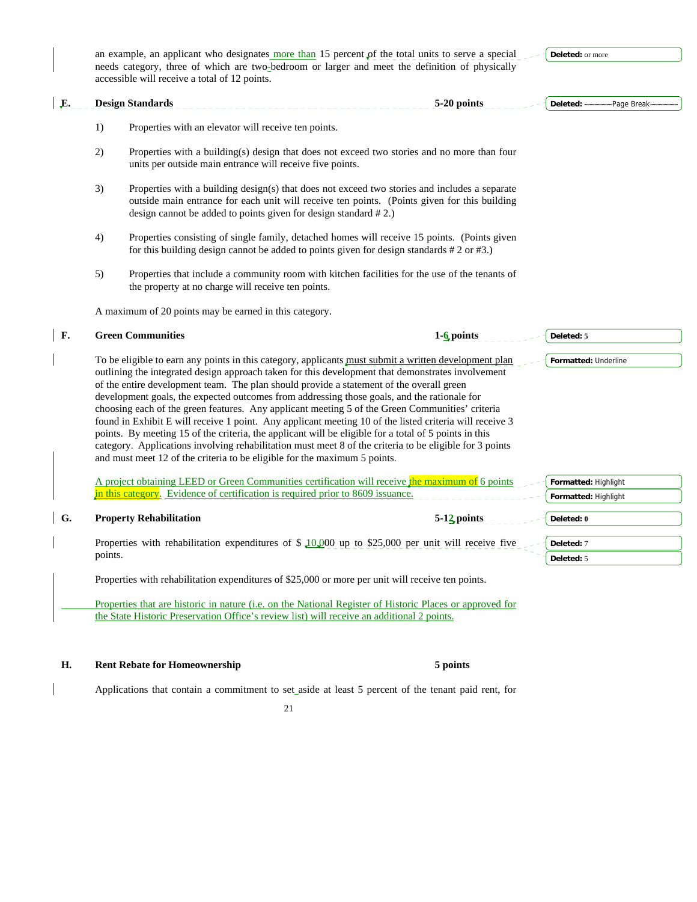**Deleted:** or more

| E.        |         | <b>Design Standards</b>                                                                                                                                                                                                                                                                                                                                                                                                                                                                                                                                                                                                                                                                                                                                                                                                                                                                                              | 5-20 points     | Deleted: -           | -Page Break- |
|-----------|---------|----------------------------------------------------------------------------------------------------------------------------------------------------------------------------------------------------------------------------------------------------------------------------------------------------------------------------------------------------------------------------------------------------------------------------------------------------------------------------------------------------------------------------------------------------------------------------------------------------------------------------------------------------------------------------------------------------------------------------------------------------------------------------------------------------------------------------------------------------------------------------------------------------------------------|-----------------|----------------------|--------------|
|           | 1)      | Properties with an elevator will receive ten points.                                                                                                                                                                                                                                                                                                                                                                                                                                                                                                                                                                                                                                                                                                                                                                                                                                                                 |                 |                      |              |
|           | 2)      | Properties with a building(s) design that does not exceed two stories and no more than four<br>units per outside main entrance will receive five points.                                                                                                                                                                                                                                                                                                                                                                                                                                                                                                                                                                                                                                                                                                                                                             |                 |                      |              |
|           | 3)      | Properties with a building design(s) that does not exceed two stories and includes a separate<br>outside main entrance for each unit will receive ten points. (Points given for this building<br>design cannot be added to points given for design standard #2.)                                                                                                                                                                                                                                                                                                                                                                                                                                                                                                                                                                                                                                                     |                 |                      |              |
|           | 4)      | Properties consisting of single family, detached homes will receive 15 points. (Points given<br>for this building design cannot be added to points given for design standards $# 2$ or $# 3$ .)                                                                                                                                                                                                                                                                                                                                                                                                                                                                                                                                                                                                                                                                                                                      |                 |                      |              |
|           | 5)      | Properties that include a community room with kitchen facilities for the use of the tenants of<br>the property at no charge will receive ten points.                                                                                                                                                                                                                                                                                                                                                                                                                                                                                                                                                                                                                                                                                                                                                                 |                 |                      |              |
|           |         | A maximum of 20 points may be earned in this category.                                                                                                                                                                                                                                                                                                                                                                                                                                                                                                                                                                                                                                                                                                                                                                                                                                                               |                 |                      |              |
| <b>F.</b> |         | <b>Green Communities</b>                                                                                                                                                                                                                                                                                                                                                                                                                                                                                                                                                                                                                                                                                                                                                                                                                                                                                             | $1 - 6$ points  | Deleted: 5           |              |
|           |         | To be eligible to earn any points in this category, applicants must submit a written development plan<br>outlining the integrated design approach taken for this development that demonstrates involvement<br>of the entire development team. The plan should provide a statement of the overall green<br>development goals, the expected outcomes from addressing those goals, and the rationale for<br>choosing each of the green features. Any applicant meeting 5 of the Green Communities' criteria<br>found in Exhibit E will receive 1 point. Any applicant meeting 10 of the listed criteria will receive 3<br>points. By meeting 15 of the criteria, the applicant will be eligible for a total of 5 points in this<br>category. Applications involving rehabilitation must meet 8 of the criteria to be eligible for 3 points<br>and must meet 12 of the criteria to be eligible for the maximum 5 points. |                 | Formatted: Underline |              |
|           |         | A project obtaining LEED or Green Communities certification will receive the maximum of 6 points<br>in this category. Evidence of certification is required prior to 8609 issuance.                                                                                                                                                                                                                                                                                                                                                                                                                                                                                                                                                                                                                                                                                                                                  |                 | Formatted: Highlight |              |
| G.        |         |                                                                                                                                                                                                                                                                                                                                                                                                                                                                                                                                                                                                                                                                                                                                                                                                                                                                                                                      | $5-12$ , points | Formatted: Highlight |              |
|           |         | <b>Property Rehabilitation</b>                                                                                                                                                                                                                                                                                                                                                                                                                                                                                                                                                                                                                                                                                                                                                                                                                                                                                       |                 | Deleted: 0           |              |
|           | points. | Properties with rehabilitation expenditures of $\frac{10,000}{10,000}$ up to \$25,000 per unit will receive five                                                                                                                                                                                                                                                                                                                                                                                                                                                                                                                                                                                                                                                                                                                                                                                                     |                 | Deleted: 7           |              |
|           |         |                                                                                                                                                                                                                                                                                                                                                                                                                                                                                                                                                                                                                                                                                                                                                                                                                                                                                                                      |                 | Deleted: 5           |              |

an example, an applicant who designates more than 15 percent  $\rho f$  the total units to serve a special needs category, three of which are two-bedroom or larger and meet the definition of physically

 Properties that are historic in nature (i.e. on the National Register of Historic Places or approved for the State Historic Preservation Office's review list) will receive an additional 2 points.

**H. Rent Rebate for Homeownership 5 points** 

Applications that contain a commitment to set aside at least 5 percent of the tenant paid rent, for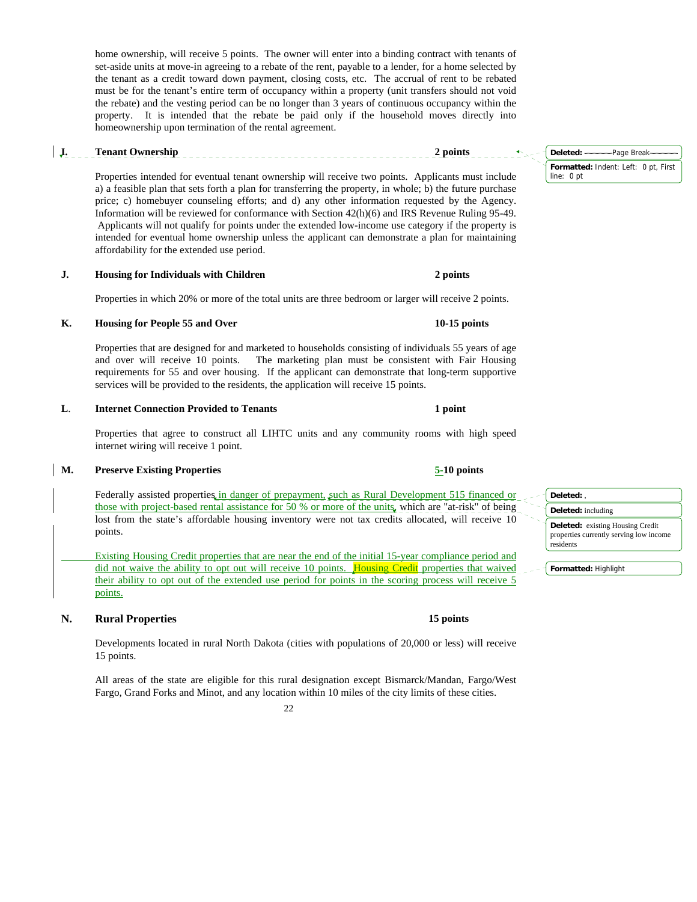home ownership, will receive 5 points. The owner will enter into a binding contract with tenants of set-aside units at move-in agreeing to a rebate of the rent, payable to a lender, for a home selected by the tenant as a credit toward down payment, closing costs, etc. The accrual of rent to be rebated must be for the tenant's entire term of occupancy within a property (unit transfers should not void the rebate) and the vesting period can be no longer than 3 years of continuous occupancy within the property. It is intended that the rebate be paid only if the household moves directly into homeownership upon termination of the rental agreement.

## **I. Tenant Ownership 2 points**

 Properties intended for eventual tenant ownership will receive two points. Applicants must include a) a feasible plan that sets forth a plan for transferring the property, in whole; b) the future purchase price; c) homebuyer counseling efforts; and d) any other information requested by the Agency. Information will be reviewed for conformance with Section 42(h)(6) and IRS Revenue Ruling 95-49. Applicants will not qualify for points under the extended low-income use category if the property is intended for eventual home ownership unless the applicant can demonstrate a plan for maintaining affordability for the extended use period.

**J. Housing for Individuals with Children 2 points 2 points** 

Properties in which 20% or more of the total units are three bedroom or larger will receive 2 points.

### K. Housing for People 55 and Over **10-15 points 10-15 points**

Properties that are designed for and marketed to households consisting of individuals 55 years of age and over will receive 10 points. The marketing plan must be consistent with Fair Housing requirements for 55 and over housing. If the applicant can demonstrate that long-term supportive services will be provided to the residents, the application will receive 15 points.

### **L. Internet Connection Provided to Tenants 1 point 1 1 point**

 Properties that agree to construct all LIHTC units and any community rooms with high speed internet wiring will receive 1 point.

## **M. Preserve Existing Properties 5-10 points**

Federally assisted properties in danger of prepayment, such as Rural Development 515 financed or those with project-based rental assistance for 50 % or more of the units, which are "at-risk" of being lost from the state's affordable housing inventory were not tax credits allocated, will receive 10 points.

 Existing Housing Credit properties that are near the end of the initial 15-year compliance period and did not waive the ability to opt out will receive 10 points. Housing Credit properties that waived their ability to opt out of the extended use period for points in the scoring process will receive 5 points.

## **N.** Rural Properties **15** points **15** points

 Developments located in rural North Dakota (cities with populations of 20,000 or less) will receive 15 points.

 All areas of the state are eligible for this rural designation except Bismarck/Mandan, Fargo/West Fargo, Grand Forks and Minot, and any location within 10 miles of the city limits of these cities.

22

#### **Deleted:** , **Deleted:** including **Deleted:** existing Housing Credit properties currently serving low income residents

**Formatted:** Highlight

**Formatted:** Indent: Left: 0 pt, First line: 0 pt **Deleted:** Page Break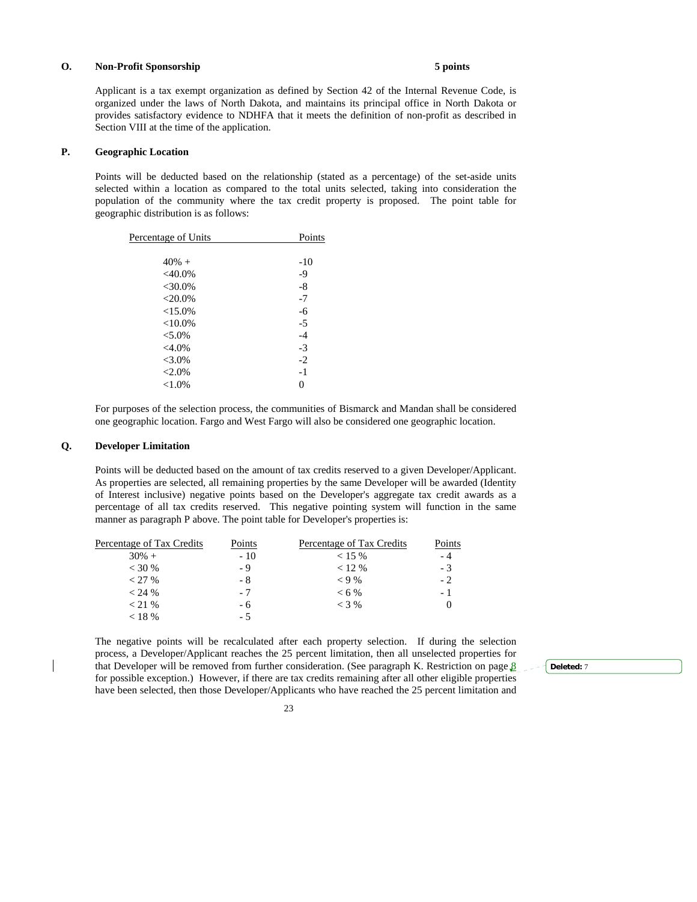#### **O. Non-Profit Sponsorship 5 points**

 Applicant is a tax exempt organization as defined by Section 42 of the Internal Revenue Code, is organized under the laws of North Dakota, and maintains its principal office in North Dakota or provides satisfactory evidence to NDHFA that it meets the definition of non-profit as described in Section VIII at the time of the application.

#### **P. Geographic Location**

 Points will be deducted based on the relationship (stated as a percentage) of the set-aside units selected within a location as compared to the total units selected, taking into consideration the population of the community where the tax credit property is proposed. The point table for geographic distribution is as follows:

| Percentage of Units | Points |
|---------------------|--------|
|                     |        |
| $40% +$             | $-10$  |
| $<$ 40.0%           | $-9$   |
| $<$ 30.0%           | $-8$   |
| $<$ 20.0%           | $-7$   |
| <15.0%              | $-6$   |
| ${<}10.0\%$         | $-5$   |
| $< 5.0\%$           | $-4$   |
| $<4.0\%$            | $-3$   |
| $< 3.0\%$           | $-2$   |
| $<2.0\%$            | $-1$   |
| ${<}1.0\%$          | 0      |
|                     |        |

 For purposes of the selection process, the communities of Bismarck and Mandan shall be considered one geographic location. Fargo and West Fargo will also be considered one geographic location.

#### **Q. Developer Limitation**

 Points will be deducted based on the amount of tax credits reserved to a given Developer/Applicant. As properties are selected, all remaining properties by the same Developer will be awarded (Identity of Interest inclusive) negative points based on the Developer's aggregate tax credit awards as a percentage of all tax credits reserved. This negative pointing system will function in the same manner as paragraph P above. The point table for Developer's properties is:

| Percentage of Tax Credits | Points | Percentage of Tax Credits | Points |
|---------------------------|--------|---------------------------|--------|
| $30\% +$                  | $-10$  | $< 15 \%$                 | - 4    |
| $<$ 30 %                  | - 9    | $< 12 \%$                 | - 3    |
| $<$ 27 %                  | - 8    | $< 9\%$                   | $-2$   |
| < 24 %                    | $-7$   | $< 6\%$                   | - 1    |
| $<$ 21 %                  | - 6    | $<$ 3 %                   |        |
| $<$ 18 %                  | - 5    |                           |        |

 The negative points will be recalculated after each property selection. If during the selection process, a Developer/Applicant reaches the 25 percent limitation, then all unselected properties for that Developer will be removed from further consideration. (See paragraph K. Restriction on page  $8 \rightarrow$ for possible exception.) However, if there are tax credits remaining after all other eligible properties have been selected, then those Developer/Applicants who have reached the 25 percent limitation and

**Deleted:** 7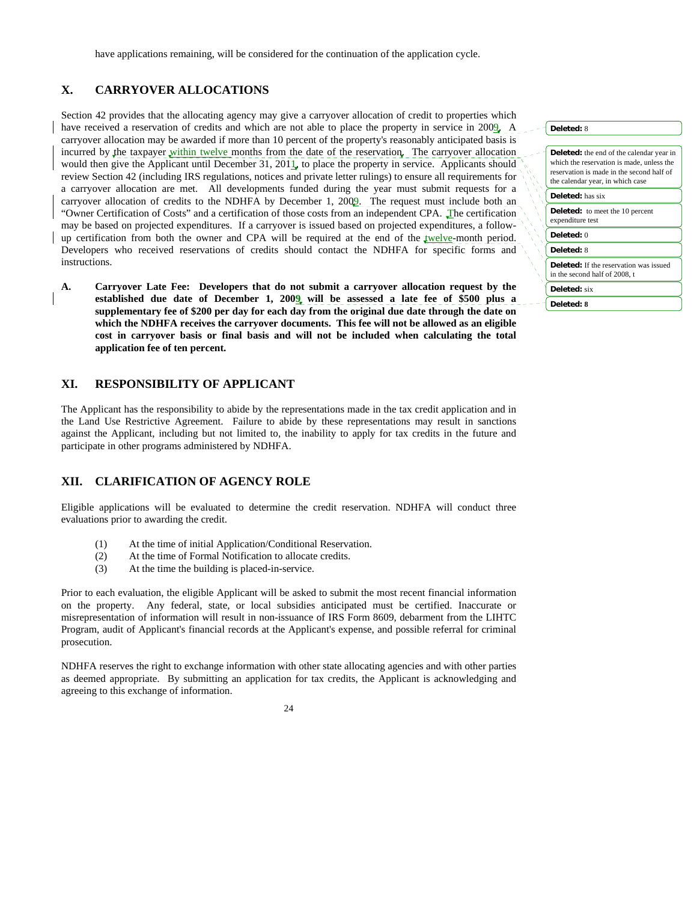## **X. CARRYOVER ALLOCATIONS**

Section 42 provides that the allocating agency may give a carryover allocation of credit to properties which have received a reservation of credits and which are not able to place the property in service in 2009. A carryover allocation may be awarded if more than 10 percent of the property's reasonably anticipated basis is incurred by the taxpayer within twelve months from the date of the reservation. The carryover allocation would then give the Applicant until December 31, 2011, to place the property in service. Applicants should review Section 42 (including IRS regulations, notices and private letter rulings) to ensure all requirements for a carryover allocation are met. All developments funded during the year must submit requests for a carryover allocation of credits to the NDHFA by December 1, 2009. The request must include both an "Owner Certification of Costs" and a certification of those costs from an independent CPA. The certification may be based on projected expenditures. If a carryover is issued based on projected expenditures, a followup certification from both the owner and CPA will be required at the end of the twelve-month period. Developers who received reservations of credits should contact the NDHFA for specific forms and instructions.

**A. Carryover Late Fee: Developers that do not submit a carryover allocation request by the established due date of December 1, 2009 will be assessed a late fee of \$500 plus a supplementary fee of \$200 per day for each day from the original due date through the date on which the NDHFA receives the carryover documents. This fee will not be allowed as an eligible cost in carryover basis or final basis and will not be included when calculating the total application fee of ten percent.** 

## **XI. RESPONSIBILITY OF APPLICANT**

The Applicant has the responsibility to abide by the representations made in the tax credit application and in the Land Use Restrictive Agreement. Failure to abide by these representations may result in sanctions against the Applicant, including but not limited to, the inability to apply for tax credits in the future and participate in other programs administered by NDHFA.

## **XII. CLARIFICATION OF AGENCY ROLE**

Eligible applications will be evaluated to determine the credit reservation. NDHFA will conduct three evaluations prior to awarding the credit.

- (1) At the time of initial Application/Conditional Reservation.
- (2) At the time of Formal Notification to allocate credits.
- (3) At the time the building is placed-in-service.

Prior to each evaluation, the eligible Applicant will be asked to submit the most recent financial information on the property. Any federal, state, or local subsidies anticipated must be certified. Inaccurate or misrepresentation of information will result in non-issuance of IRS Form 8609, debarment from the LIHTC Program, audit of Applicant's financial records at the Applicant's expense, and possible referral for criminal prosecution.

NDHFA reserves the right to exchange information with other state allocating agencies and with other parties as deemed appropriate. By submitting an application for tax credits, the Applicant is acknowledging and agreeing to this exchange of information.



| Deleted: 8                                                                                                                         |
|------------------------------------------------------------------------------------------------------------------------------------|
|                                                                                                                                    |
| Deleted: the end of the calendar year in<br>which the reservation is made, unless the<br>reservation is made in the second half of |
| the calendar year, in which case                                                                                                   |
| <b>Deleted:</b> has six                                                                                                            |
| <b>Deleted:</b> to meet the 10 percent<br>expenditure test                                                                         |
| Deleted: $0$                                                                                                                       |
| Deleted: 8                                                                                                                         |
| Deleted: If the reservation was issued<br>in the second half of 2008, t                                                            |
| <b>Deleted:</b> six                                                                                                                |

**Deleted: 8**